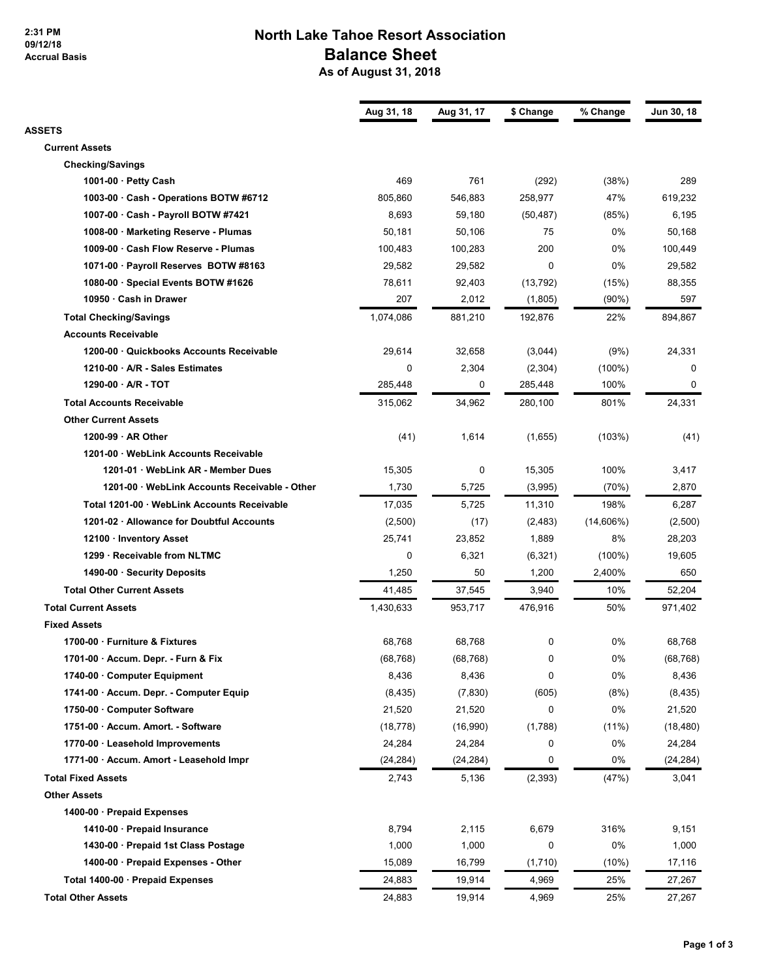#### **2:31 PM 09/12/18 Accrual Basis**

# **North Lake Tahoe Resort Association Balance Sheet**

 **As of August 31, 2018**

| <b>ASSETS</b><br><b>Current Assets</b><br><b>Checking/Savings</b><br>469<br>761<br>(38%)<br>289<br>(292)<br>1001-00 $\cdot$ Petty Cash<br>47%<br>805,860<br>546,883<br>258,977<br>619,232<br>1003-00 · Cash - Operations BOTW #6712<br>8,693<br>1007-00 · Cash - Payroll BOTW #7421<br>59,180<br>(85%)<br>6,195<br>(50, 487)<br>0%<br>1008-00 · Marketing Reserve - Plumas<br>50,181<br>50,106<br>75<br>50.168<br>200<br>0%<br>1009-00 · Cash Flow Reserve - Plumas<br>100,483<br>100,283<br>100,449<br>29,582<br>0<br>0%<br>29,582<br>1071-00 · Payroll Reserves BOTW #8163<br>29,582<br>78,611<br>88,355<br>1080-00 · Special Events BOTW #1626<br>92,403<br>(13, 792)<br>(15%)<br>207<br>597<br>10950 · Cash in Drawer<br>2,012<br>(1,805)<br>$(90\%)$<br>22%<br><b>Total Checking/Savings</b><br>1,074,086<br>881,210<br>192,876<br>894,867<br><b>Accounts Receivable</b><br>24,331<br>1200-00 · Quickbooks Accounts Receivable<br>29,614<br>32,658<br>(3,044)<br>(9%)<br>0<br>2,304<br>1210-00 · A/R - Sales Estimates<br>(2,304)<br>$(100\%)$<br>0<br>$1290-00 \cdot A/R - TOT$<br>285,448<br>0<br>285,448<br>100%<br>0<br>801%<br><b>Total Accounts Receivable</b><br>315,062<br>34,962<br>280.100<br>24,331<br><b>Other Current Assets</b><br>1200-99 $\cdot$ AR Other<br>(41)<br>1,614<br>(1,655)<br>(103%)<br>(41)<br>1201-00 · WebLink Accounts Receivable<br>0<br>100%<br>1201-01 · WebLink AR - Member Dues<br>15,305<br>15,305<br>3,417<br>1,730<br>2,870<br>1201-00 · WebLink Accounts Receivable - Other<br>5,725<br>(3,995)<br>(70%)<br>198%<br>Total 1201-00 · WebLink Accounts Receivable<br>17,035<br>5,725<br>11,310<br>6,287<br>$(14,606\%)$<br>1201-02 · Allowance for Doubtful Accounts<br>(2,500)<br>(17)<br>(2,483)<br>(2,500)<br>23,852<br>1,889<br>8%<br>28,203<br>12100 · Inventory Asset<br>25,741<br>$\mathbf 0$<br>6,321<br>1299 · Receivable from NLTMC<br>$(100\%)$<br>19,605<br>(6,321)<br>1,250<br>1490-00 · Security Deposits<br>50<br>1,200<br>2,400%<br>650<br><b>Total Other Current Assets</b><br>37,545<br>10%<br>52,204<br>41,485<br>3,940<br><b>Total Current Assets</b><br>50%<br>1,430,633<br>953,717<br>476,916<br>971,402<br><b>Fixed Assets</b><br>0%<br>1700-00 · Furniture & Fixtures<br>68,768<br>68,768<br>0<br>68,768<br>1701-00 · Accum. Depr. - Furn & Fix<br>(68, 768)<br>(68, 768)<br>0<br>0%<br>(68, 768)<br>8,436<br>8,436<br>0<br>0%<br>8,436<br>1740-00 Computer Equipment<br>1741-00 · Accum. Depr. - Computer Equip<br>(8, 435)<br>(7, 830)<br>(605)<br>(8%)<br>(8, 435)<br>21,520<br>0<br>0%<br>1750-00 · Computer Software<br>21,520<br>21,520<br>(1,788)<br>1751-00 · Accum. Amort. - Software<br>(18, 778)<br>(16,990)<br>$(11\%)$<br>(18, 480)<br>0%<br>1770-00 · Leasehold Improvements<br>24,284<br>24,284<br>0<br>24,284<br>0%<br>1771-00 · Accum. Amort - Leasehold Impr<br>0<br>(24, 284)<br>(24,284)<br>(24, 284)<br><b>Total Fixed Assets</b><br>(2, 393)<br>2,743<br>5,136<br>(47%)<br>3,041<br><b>Other Assets</b><br>1400-00 · Prepaid Expenses<br>8,794<br>2,115<br>316%<br>1410-00 · Prepaid Insurance<br>6,679<br>9,151<br>0%<br>1430-00 · Prepaid 1st Class Postage<br>1,000<br>1,000<br>0<br>1,000<br>1400-00 · Prepaid Expenses - Other<br>15,089<br>16,799<br>(10%)<br>17,116<br>(1,710)<br>25%<br>Total 1400-00 · Prepaid Expenses<br>24,883<br>19,914<br>4,969<br>27,267<br>25%<br><b>Total Other Assets</b><br>24,883<br>19,914<br>4,969<br>27,267 | Aug 31, 18 | Aug 31, 17 | \$ Change | % Change | Jun 30, 18 |
|---------------------------------------------------------------------------------------------------------------------------------------------------------------------------------------------------------------------------------------------------------------------------------------------------------------------------------------------------------------------------------------------------------------------------------------------------------------------------------------------------------------------------------------------------------------------------------------------------------------------------------------------------------------------------------------------------------------------------------------------------------------------------------------------------------------------------------------------------------------------------------------------------------------------------------------------------------------------------------------------------------------------------------------------------------------------------------------------------------------------------------------------------------------------------------------------------------------------------------------------------------------------------------------------------------------------------------------------------------------------------------------------------------------------------------------------------------------------------------------------------------------------------------------------------------------------------------------------------------------------------------------------------------------------------------------------------------------------------------------------------------------------------------------------------------------------------------------------------------------------------------------------------------------------------------------------------------------------------------------------------------------------------------------------------------------------------------------------------------------------------------------------------------------------------------------------------------------------------------------------------------------------------------------------------------------------------------------------------------------------------------------------------------------------------------------------------------------------------------------------------------------------------------------------------------------------------------------------------------------------------------------------------------------------------------------------------------------------------------------------------------------------------------------------------------------------------------------------------------------------------------------------------------------------------------------------------------------------------------------------------------------------------------------------------------------------------------------------------------------------------------------------------------------------------------------------------------------------------------------------------------------------------------------------------------------------------------------------------------------------------------------------------------------------------------------------|------------|------------|-----------|----------|------------|
|                                                                                                                                                                                                                                                                                                                                                                                                                                                                                                                                                                                                                                                                                                                                                                                                                                                                                                                                                                                                                                                                                                                                                                                                                                                                                                                                                                                                                                                                                                                                                                                                                                                                                                                                                                                                                                                                                                                                                                                                                                                                                                                                                                                                                                                                                                                                                                                                                                                                                                                                                                                                                                                                                                                                                                                                                                                                                                                                                                                                                                                                                                                                                                                                                                                                                                                                                                                                                                             |            |            |           |          |            |
|                                                                                                                                                                                                                                                                                                                                                                                                                                                                                                                                                                                                                                                                                                                                                                                                                                                                                                                                                                                                                                                                                                                                                                                                                                                                                                                                                                                                                                                                                                                                                                                                                                                                                                                                                                                                                                                                                                                                                                                                                                                                                                                                                                                                                                                                                                                                                                                                                                                                                                                                                                                                                                                                                                                                                                                                                                                                                                                                                                                                                                                                                                                                                                                                                                                                                                                                                                                                                                             |            |            |           |          |            |
|                                                                                                                                                                                                                                                                                                                                                                                                                                                                                                                                                                                                                                                                                                                                                                                                                                                                                                                                                                                                                                                                                                                                                                                                                                                                                                                                                                                                                                                                                                                                                                                                                                                                                                                                                                                                                                                                                                                                                                                                                                                                                                                                                                                                                                                                                                                                                                                                                                                                                                                                                                                                                                                                                                                                                                                                                                                                                                                                                                                                                                                                                                                                                                                                                                                                                                                                                                                                                                             |            |            |           |          |            |
|                                                                                                                                                                                                                                                                                                                                                                                                                                                                                                                                                                                                                                                                                                                                                                                                                                                                                                                                                                                                                                                                                                                                                                                                                                                                                                                                                                                                                                                                                                                                                                                                                                                                                                                                                                                                                                                                                                                                                                                                                                                                                                                                                                                                                                                                                                                                                                                                                                                                                                                                                                                                                                                                                                                                                                                                                                                                                                                                                                                                                                                                                                                                                                                                                                                                                                                                                                                                                                             |            |            |           |          |            |
|                                                                                                                                                                                                                                                                                                                                                                                                                                                                                                                                                                                                                                                                                                                                                                                                                                                                                                                                                                                                                                                                                                                                                                                                                                                                                                                                                                                                                                                                                                                                                                                                                                                                                                                                                                                                                                                                                                                                                                                                                                                                                                                                                                                                                                                                                                                                                                                                                                                                                                                                                                                                                                                                                                                                                                                                                                                                                                                                                                                                                                                                                                                                                                                                                                                                                                                                                                                                                                             |            |            |           |          |            |
|                                                                                                                                                                                                                                                                                                                                                                                                                                                                                                                                                                                                                                                                                                                                                                                                                                                                                                                                                                                                                                                                                                                                                                                                                                                                                                                                                                                                                                                                                                                                                                                                                                                                                                                                                                                                                                                                                                                                                                                                                                                                                                                                                                                                                                                                                                                                                                                                                                                                                                                                                                                                                                                                                                                                                                                                                                                                                                                                                                                                                                                                                                                                                                                                                                                                                                                                                                                                                                             |            |            |           |          |            |
|                                                                                                                                                                                                                                                                                                                                                                                                                                                                                                                                                                                                                                                                                                                                                                                                                                                                                                                                                                                                                                                                                                                                                                                                                                                                                                                                                                                                                                                                                                                                                                                                                                                                                                                                                                                                                                                                                                                                                                                                                                                                                                                                                                                                                                                                                                                                                                                                                                                                                                                                                                                                                                                                                                                                                                                                                                                                                                                                                                                                                                                                                                                                                                                                                                                                                                                                                                                                                                             |            |            |           |          |            |
|                                                                                                                                                                                                                                                                                                                                                                                                                                                                                                                                                                                                                                                                                                                                                                                                                                                                                                                                                                                                                                                                                                                                                                                                                                                                                                                                                                                                                                                                                                                                                                                                                                                                                                                                                                                                                                                                                                                                                                                                                                                                                                                                                                                                                                                                                                                                                                                                                                                                                                                                                                                                                                                                                                                                                                                                                                                                                                                                                                                                                                                                                                                                                                                                                                                                                                                                                                                                                                             |            |            |           |          |            |
|                                                                                                                                                                                                                                                                                                                                                                                                                                                                                                                                                                                                                                                                                                                                                                                                                                                                                                                                                                                                                                                                                                                                                                                                                                                                                                                                                                                                                                                                                                                                                                                                                                                                                                                                                                                                                                                                                                                                                                                                                                                                                                                                                                                                                                                                                                                                                                                                                                                                                                                                                                                                                                                                                                                                                                                                                                                                                                                                                                                                                                                                                                                                                                                                                                                                                                                                                                                                                                             |            |            |           |          |            |
|                                                                                                                                                                                                                                                                                                                                                                                                                                                                                                                                                                                                                                                                                                                                                                                                                                                                                                                                                                                                                                                                                                                                                                                                                                                                                                                                                                                                                                                                                                                                                                                                                                                                                                                                                                                                                                                                                                                                                                                                                                                                                                                                                                                                                                                                                                                                                                                                                                                                                                                                                                                                                                                                                                                                                                                                                                                                                                                                                                                                                                                                                                                                                                                                                                                                                                                                                                                                                                             |            |            |           |          |            |
|                                                                                                                                                                                                                                                                                                                                                                                                                                                                                                                                                                                                                                                                                                                                                                                                                                                                                                                                                                                                                                                                                                                                                                                                                                                                                                                                                                                                                                                                                                                                                                                                                                                                                                                                                                                                                                                                                                                                                                                                                                                                                                                                                                                                                                                                                                                                                                                                                                                                                                                                                                                                                                                                                                                                                                                                                                                                                                                                                                                                                                                                                                                                                                                                                                                                                                                                                                                                                                             |            |            |           |          |            |
|                                                                                                                                                                                                                                                                                                                                                                                                                                                                                                                                                                                                                                                                                                                                                                                                                                                                                                                                                                                                                                                                                                                                                                                                                                                                                                                                                                                                                                                                                                                                                                                                                                                                                                                                                                                                                                                                                                                                                                                                                                                                                                                                                                                                                                                                                                                                                                                                                                                                                                                                                                                                                                                                                                                                                                                                                                                                                                                                                                                                                                                                                                                                                                                                                                                                                                                                                                                                                                             |            |            |           |          |            |
|                                                                                                                                                                                                                                                                                                                                                                                                                                                                                                                                                                                                                                                                                                                                                                                                                                                                                                                                                                                                                                                                                                                                                                                                                                                                                                                                                                                                                                                                                                                                                                                                                                                                                                                                                                                                                                                                                                                                                                                                                                                                                                                                                                                                                                                                                                                                                                                                                                                                                                                                                                                                                                                                                                                                                                                                                                                                                                                                                                                                                                                                                                                                                                                                                                                                                                                                                                                                                                             |            |            |           |          |            |
|                                                                                                                                                                                                                                                                                                                                                                                                                                                                                                                                                                                                                                                                                                                                                                                                                                                                                                                                                                                                                                                                                                                                                                                                                                                                                                                                                                                                                                                                                                                                                                                                                                                                                                                                                                                                                                                                                                                                                                                                                                                                                                                                                                                                                                                                                                                                                                                                                                                                                                                                                                                                                                                                                                                                                                                                                                                                                                                                                                                                                                                                                                                                                                                                                                                                                                                                                                                                                                             |            |            |           |          |            |
|                                                                                                                                                                                                                                                                                                                                                                                                                                                                                                                                                                                                                                                                                                                                                                                                                                                                                                                                                                                                                                                                                                                                                                                                                                                                                                                                                                                                                                                                                                                                                                                                                                                                                                                                                                                                                                                                                                                                                                                                                                                                                                                                                                                                                                                                                                                                                                                                                                                                                                                                                                                                                                                                                                                                                                                                                                                                                                                                                                                                                                                                                                                                                                                                                                                                                                                                                                                                                                             |            |            |           |          |            |
|                                                                                                                                                                                                                                                                                                                                                                                                                                                                                                                                                                                                                                                                                                                                                                                                                                                                                                                                                                                                                                                                                                                                                                                                                                                                                                                                                                                                                                                                                                                                                                                                                                                                                                                                                                                                                                                                                                                                                                                                                                                                                                                                                                                                                                                                                                                                                                                                                                                                                                                                                                                                                                                                                                                                                                                                                                                                                                                                                                                                                                                                                                                                                                                                                                                                                                                                                                                                                                             |            |            |           |          |            |
|                                                                                                                                                                                                                                                                                                                                                                                                                                                                                                                                                                                                                                                                                                                                                                                                                                                                                                                                                                                                                                                                                                                                                                                                                                                                                                                                                                                                                                                                                                                                                                                                                                                                                                                                                                                                                                                                                                                                                                                                                                                                                                                                                                                                                                                                                                                                                                                                                                                                                                                                                                                                                                                                                                                                                                                                                                                                                                                                                                                                                                                                                                                                                                                                                                                                                                                                                                                                                                             |            |            |           |          |            |
|                                                                                                                                                                                                                                                                                                                                                                                                                                                                                                                                                                                                                                                                                                                                                                                                                                                                                                                                                                                                                                                                                                                                                                                                                                                                                                                                                                                                                                                                                                                                                                                                                                                                                                                                                                                                                                                                                                                                                                                                                                                                                                                                                                                                                                                                                                                                                                                                                                                                                                                                                                                                                                                                                                                                                                                                                                                                                                                                                                                                                                                                                                                                                                                                                                                                                                                                                                                                                                             |            |            |           |          |            |
|                                                                                                                                                                                                                                                                                                                                                                                                                                                                                                                                                                                                                                                                                                                                                                                                                                                                                                                                                                                                                                                                                                                                                                                                                                                                                                                                                                                                                                                                                                                                                                                                                                                                                                                                                                                                                                                                                                                                                                                                                                                                                                                                                                                                                                                                                                                                                                                                                                                                                                                                                                                                                                                                                                                                                                                                                                                                                                                                                                                                                                                                                                                                                                                                                                                                                                                                                                                                                                             |            |            |           |          |            |
|                                                                                                                                                                                                                                                                                                                                                                                                                                                                                                                                                                                                                                                                                                                                                                                                                                                                                                                                                                                                                                                                                                                                                                                                                                                                                                                                                                                                                                                                                                                                                                                                                                                                                                                                                                                                                                                                                                                                                                                                                                                                                                                                                                                                                                                                                                                                                                                                                                                                                                                                                                                                                                                                                                                                                                                                                                                                                                                                                                                                                                                                                                                                                                                                                                                                                                                                                                                                                                             |            |            |           |          |            |
|                                                                                                                                                                                                                                                                                                                                                                                                                                                                                                                                                                                                                                                                                                                                                                                                                                                                                                                                                                                                                                                                                                                                                                                                                                                                                                                                                                                                                                                                                                                                                                                                                                                                                                                                                                                                                                                                                                                                                                                                                                                                                                                                                                                                                                                                                                                                                                                                                                                                                                                                                                                                                                                                                                                                                                                                                                                                                                                                                                                                                                                                                                                                                                                                                                                                                                                                                                                                                                             |            |            |           |          |            |
|                                                                                                                                                                                                                                                                                                                                                                                                                                                                                                                                                                                                                                                                                                                                                                                                                                                                                                                                                                                                                                                                                                                                                                                                                                                                                                                                                                                                                                                                                                                                                                                                                                                                                                                                                                                                                                                                                                                                                                                                                                                                                                                                                                                                                                                                                                                                                                                                                                                                                                                                                                                                                                                                                                                                                                                                                                                                                                                                                                                                                                                                                                                                                                                                                                                                                                                                                                                                                                             |            |            |           |          |            |
|                                                                                                                                                                                                                                                                                                                                                                                                                                                                                                                                                                                                                                                                                                                                                                                                                                                                                                                                                                                                                                                                                                                                                                                                                                                                                                                                                                                                                                                                                                                                                                                                                                                                                                                                                                                                                                                                                                                                                                                                                                                                                                                                                                                                                                                                                                                                                                                                                                                                                                                                                                                                                                                                                                                                                                                                                                                                                                                                                                                                                                                                                                                                                                                                                                                                                                                                                                                                                                             |            |            |           |          |            |
|                                                                                                                                                                                                                                                                                                                                                                                                                                                                                                                                                                                                                                                                                                                                                                                                                                                                                                                                                                                                                                                                                                                                                                                                                                                                                                                                                                                                                                                                                                                                                                                                                                                                                                                                                                                                                                                                                                                                                                                                                                                                                                                                                                                                                                                                                                                                                                                                                                                                                                                                                                                                                                                                                                                                                                                                                                                                                                                                                                                                                                                                                                                                                                                                                                                                                                                                                                                                                                             |            |            |           |          |            |
|                                                                                                                                                                                                                                                                                                                                                                                                                                                                                                                                                                                                                                                                                                                                                                                                                                                                                                                                                                                                                                                                                                                                                                                                                                                                                                                                                                                                                                                                                                                                                                                                                                                                                                                                                                                                                                                                                                                                                                                                                                                                                                                                                                                                                                                                                                                                                                                                                                                                                                                                                                                                                                                                                                                                                                                                                                                                                                                                                                                                                                                                                                                                                                                                                                                                                                                                                                                                                                             |            |            |           |          |            |
|                                                                                                                                                                                                                                                                                                                                                                                                                                                                                                                                                                                                                                                                                                                                                                                                                                                                                                                                                                                                                                                                                                                                                                                                                                                                                                                                                                                                                                                                                                                                                                                                                                                                                                                                                                                                                                                                                                                                                                                                                                                                                                                                                                                                                                                                                                                                                                                                                                                                                                                                                                                                                                                                                                                                                                                                                                                                                                                                                                                                                                                                                                                                                                                                                                                                                                                                                                                                                                             |            |            |           |          |            |
|                                                                                                                                                                                                                                                                                                                                                                                                                                                                                                                                                                                                                                                                                                                                                                                                                                                                                                                                                                                                                                                                                                                                                                                                                                                                                                                                                                                                                                                                                                                                                                                                                                                                                                                                                                                                                                                                                                                                                                                                                                                                                                                                                                                                                                                                                                                                                                                                                                                                                                                                                                                                                                                                                                                                                                                                                                                                                                                                                                                                                                                                                                                                                                                                                                                                                                                                                                                                                                             |            |            |           |          |            |
|                                                                                                                                                                                                                                                                                                                                                                                                                                                                                                                                                                                                                                                                                                                                                                                                                                                                                                                                                                                                                                                                                                                                                                                                                                                                                                                                                                                                                                                                                                                                                                                                                                                                                                                                                                                                                                                                                                                                                                                                                                                                                                                                                                                                                                                                                                                                                                                                                                                                                                                                                                                                                                                                                                                                                                                                                                                                                                                                                                                                                                                                                                                                                                                                                                                                                                                                                                                                                                             |            |            |           |          |            |
|                                                                                                                                                                                                                                                                                                                                                                                                                                                                                                                                                                                                                                                                                                                                                                                                                                                                                                                                                                                                                                                                                                                                                                                                                                                                                                                                                                                                                                                                                                                                                                                                                                                                                                                                                                                                                                                                                                                                                                                                                                                                                                                                                                                                                                                                                                                                                                                                                                                                                                                                                                                                                                                                                                                                                                                                                                                                                                                                                                                                                                                                                                                                                                                                                                                                                                                                                                                                                                             |            |            |           |          |            |
|                                                                                                                                                                                                                                                                                                                                                                                                                                                                                                                                                                                                                                                                                                                                                                                                                                                                                                                                                                                                                                                                                                                                                                                                                                                                                                                                                                                                                                                                                                                                                                                                                                                                                                                                                                                                                                                                                                                                                                                                                                                                                                                                                                                                                                                                                                                                                                                                                                                                                                                                                                                                                                                                                                                                                                                                                                                                                                                                                                                                                                                                                                                                                                                                                                                                                                                                                                                                                                             |            |            |           |          |            |
|                                                                                                                                                                                                                                                                                                                                                                                                                                                                                                                                                                                                                                                                                                                                                                                                                                                                                                                                                                                                                                                                                                                                                                                                                                                                                                                                                                                                                                                                                                                                                                                                                                                                                                                                                                                                                                                                                                                                                                                                                                                                                                                                                                                                                                                                                                                                                                                                                                                                                                                                                                                                                                                                                                                                                                                                                                                                                                                                                                                                                                                                                                                                                                                                                                                                                                                                                                                                                                             |            |            |           |          |            |
|                                                                                                                                                                                                                                                                                                                                                                                                                                                                                                                                                                                                                                                                                                                                                                                                                                                                                                                                                                                                                                                                                                                                                                                                                                                                                                                                                                                                                                                                                                                                                                                                                                                                                                                                                                                                                                                                                                                                                                                                                                                                                                                                                                                                                                                                                                                                                                                                                                                                                                                                                                                                                                                                                                                                                                                                                                                                                                                                                                                                                                                                                                                                                                                                                                                                                                                                                                                                                                             |            |            |           |          |            |
|                                                                                                                                                                                                                                                                                                                                                                                                                                                                                                                                                                                                                                                                                                                                                                                                                                                                                                                                                                                                                                                                                                                                                                                                                                                                                                                                                                                                                                                                                                                                                                                                                                                                                                                                                                                                                                                                                                                                                                                                                                                                                                                                                                                                                                                                                                                                                                                                                                                                                                                                                                                                                                                                                                                                                                                                                                                                                                                                                                                                                                                                                                                                                                                                                                                                                                                                                                                                                                             |            |            |           |          |            |
|                                                                                                                                                                                                                                                                                                                                                                                                                                                                                                                                                                                                                                                                                                                                                                                                                                                                                                                                                                                                                                                                                                                                                                                                                                                                                                                                                                                                                                                                                                                                                                                                                                                                                                                                                                                                                                                                                                                                                                                                                                                                                                                                                                                                                                                                                                                                                                                                                                                                                                                                                                                                                                                                                                                                                                                                                                                                                                                                                                                                                                                                                                                                                                                                                                                                                                                                                                                                                                             |            |            |           |          |            |
|                                                                                                                                                                                                                                                                                                                                                                                                                                                                                                                                                                                                                                                                                                                                                                                                                                                                                                                                                                                                                                                                                                                                                                                                                                                                                                                                                                                                                                                                                                                                                                                                                                                                                                                                                                                                                                                                                                                                                                                                                                                                                                                                                                                                                                                                                                                                                                                                                                                                                                                                                                                                                                                                                                                                                                                                                                                                                                                                                                                                                                                                                                                                                                                                                                                                                                                                                                                                                                             |            |            |           |          |            |
|                                                                                                                                                                                                                                                                                                                                                                                                                                                                                                                                                                                                                                                                                                                                                                                                                                                                                                                                                                                                                                                                                                                                                                                                                                                                                                                                                                                                                                                                                                                                                                                                                                                                                                                                                                                                                                                                                                                                                                                                                                                                                                                                                                                                                                                                                                                                                                                                                                                                                                                                                                                                                                                                                                                                                                                                                                                                                                                                                                                                                                                                                                                                                                                                                                                                                                                                                                                                                                             |            |            |           |          |            |
|                                                                                                                                                                                                                                                                                                                                                                                                                                                                                                                                                                                                                                                                                                                                                                                                                                                                                                                                                                                                                                                                                                                                                                                                                                                                                                                                                                                                                                                                                                                                                                                                                                                                                                                                                                                                                                                                                                                                                                                                                                                                                                                                                                                                                                                                                                                                                                                                                                                                                                                                                                                                                                                                                                                                                                                                                                                                                                                                                                                                                                                                                                                                                                                                                                                                                                                                                                                                                                             |            |            |           |          |            |
|                                                                                                                                                                                                                                                                                                                                                                                                                                                                                                                                                                                                                                                                                                                                                                                                                                                                                                                                                                                                                                                                                                                                                                                                                                                                                                                                                                                                                                                                                                                                                                                                                                                                                                                                                                                                                                                                                                                                                                                                                                                                                                                                                                                                                                                                                                                                                                                                                                                                                                                                                                                                                                                                                                                                                                                                                                                                                                                                                                                                                                                                                                                                                                                                                                                                                                                                                                                                                                             |            |            |           |          |            |
|                                                                                                                                                                                                                                                                                                                                                                                                                                                                                                                                                                                                                                                                                                                                                                                                                                                                                                                                                                                                                                                                                                                                                                                                                                                                                                                                                                                                                                                                                                                                                                                                                                                                                                                                                                                                                                                                                                                                                                                                                                                                                                                                                                                                                                                                                                                                                                                                                                                                                                                                                                                                                                                                                                                                                                                                                                                                                                                                                                                                                                                                                                                                                                                                                                                                                                                                                                                                                                             |            |            |           |          |            |
|                                                                                                                                                                                                                                                                                                                                                                                                                                                                                                                                                                                                                                                                                                                                                                                                                                                                                                                                                                                                                                                                                                                                                                                                                                                                                                                                                                                                                                                                                                                                                                                                                                                                                                                                                                                                                                                                                                                                                                                                                                                                                                                                                                                                                                                                                                                                                                                                                                                                                                                                                                                                                                                                                                                                                                                                                                                                                                                                                                                                                                                                                                                                                                                                                                                                                                                                                                                                                                             |            |            |           |          |            |
|                                                                                                                                                                                                                                                                                                                                                                                                                                                                                                                                                                                                                                                                                                                                                                                                                                                                                                                                                                                                                                                                                                                                                                                                                                                                                                                                                                                                                                                                                                                                                                                                                                                                                                                                                                                                                                                                                                                                                                                                                                                                                                                                                                                                                                                                                                                                                                                                                                                                                                                                                                                                                                                                                                                                                                                                                                                                                                                                                                                                                                                                                                                                                                                                                                                                                                                                                                                                                                             |            |            |           |          |            |
|                                                                                                                                                                                                                                                                                                                                                                                                                                                                                                                                                                                                                                                                                                                                                                                                                                                                                                                                                                                                                                                                                                                                                                                                                                                                                                                                                                                                                                                                                                                                                                                                                                                                                                                                                                                                                                                                                                                                                                                                                                                                                                                                                                                                                                                                                                                                                                                                                                                                                                                                                                                                                                                                                                                                                                                                                                                                                                                                                                                                                                                                                                                                                                                                                                                                                                                                                                                                                                             |            |            |           |          |            |
|                                                                                                                                                                                                                                                                                                                                                                                                                                                                                                                                                                                                                                                                                                                                                                                                                                                                                                                                                                                                                                                                                                                                                                                                                                                                                                                                                                                                                                                                                                                                                                                                                                                                                                                                                                                                                                                                                                                                                                                                                                                                                                                                                                                                                                                                                                                                                                                                                                                                                                                                                                                                                                                                                                                                                                                                                                                                                                                                                                                                                                                                                                                                                                                                                                                                                                                                                                                                                                             |            |            |           |          |            |
|                                                                                                                                                                                                                                                                                                                                                                                                                                                                                                                                                                                                                                                                                                                                                                                                                                                                                                                                                                                                                                                                                                                                                                                                                                                                                                                                                                                                                                                                                                                                                                                                                                                                                                                                                                                                                                                                                                                                                                                                                                                                                                                                                                                                                                                                                                                                                                                                                                                                                                                                                                                                                                                                                                                                                                                                                                                                                                                                                                                                                                                                                                                                                                                                                                                                                                                                                                                                                                             |            |            |           |          |            |
|                                                                                                                                                                                                                                                                                                                                                                                                                                                                                                                                                                                                                                                                                                                                                                                                                                                                                                                                                                                                                                                                                                                                                                                                                                                                                                                                                                                                                                                                                                                                                                                                                                                                                                                                                                                                                                                                                                                                                                                                                                                                                                                                                                                                                                                                                                                                                                                                                                                                                                                                                                                                                                                                                                                                                                                                                                                                                                                                                                                                                                                                                                                                                                                                                                                                                                                                                                                                                                             |            |            |           |          |            |
|                                                                                                                                                                                                                                                                                                                                                                                                                                                                                                                                                                                                                                                                                                                                                                                                                                                                                                                                                                                                                                                                                                                                                                                                                                                                                                                                                                                                                                                                                                                                                                                                                                                                                                                                                                                                                                                                                                                                                                                                                                                                                                                                                                                                                                                                                                                                                                                                                                                                                                                                                                                                                                                                                                                                                                                                                                                                                                                                                                                                                                                                                                                                                                                                                                                                                                                                                                                                                                             |            |            |           |          |            |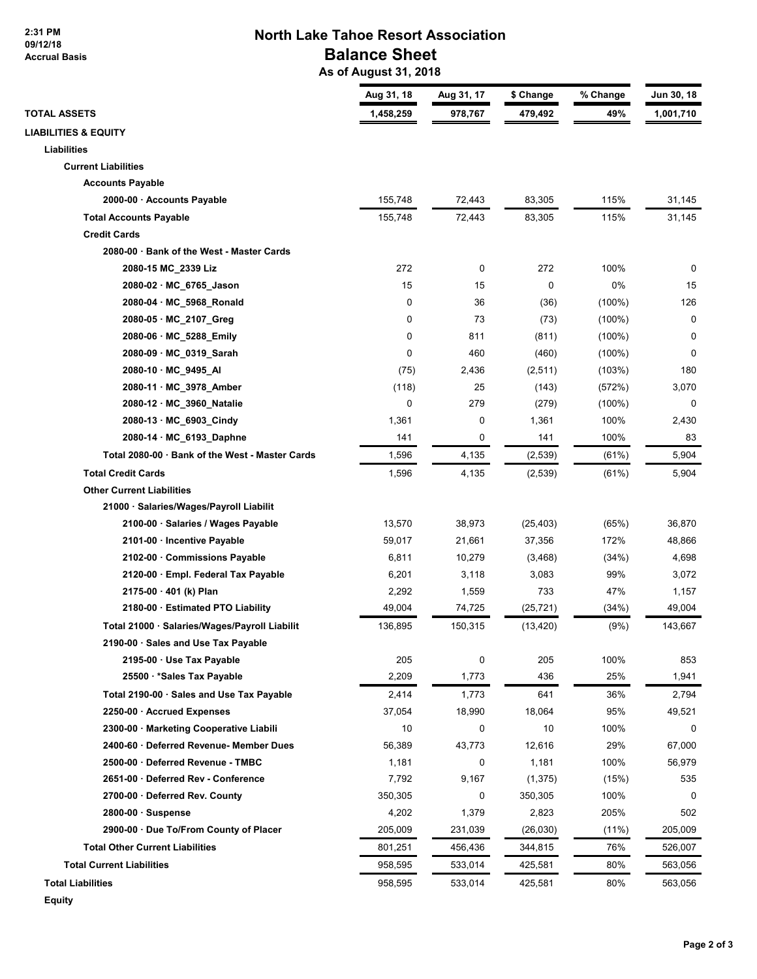**2:31 PM 09/12/18 Accrual Basis**

## **North Lake Tahoe Resort Association Balance Sheet**

 **As of August 31, 2018**

|                                                 | Aug 31, 18 | Aug 31, 17 | \$ Change   | % Change  | Jun 30, 18  |
|-------------------------------------------------|------------|------------|-------------|-----------|-------------|
| <b>TOTAL ASSETS</b>                             | 1,458,259  | 978,767    | 479,492     | 49%       | 1,001,710   |
| <b>LIABILITIES &amp; EQUITY</b>                 |            |            |             |           |             |
| Liabilities                                     |            |            |             |           |             |
| <b>Current Liabilities</b>                      |            |            |             |           |             |
| <b>Accounts Payable</b>                         |            |            |             |           |             |
| 2000-00 · Accounts Payable                      | 155,748    | 72,443     | 83,305      | 115%      | 31,145      |
| <b>Total Accounts Payable</b>                   | 155,748    | 72,443     | 83,305      | 115%      | 31,145      |
| <b>Credit Cards</b>                             |            |            |             |           |             |
| 2080-00 · Bank of the West - Master Cards       |            |            |             |           |             |
| 2080-15 MC_2339 Liz                             | 272        | 0          | 272         | 100%      | 0           |
| 2080-02 · MC_6765_Jason                         | 15         | 15         | $\mathbf 0$ | 0%        | 15          |
| 2080-04 · MC_5968_Ronald                        | 0          | 36         | (36)        | $(100\%)$ | 126         |
| 2080-05 · MC_2107_Greg                          | 0          | 73         | (73)        | $(100\%)$ | 0           |
| 2080-06 · MC 5288 Emily                         | 0          | 811        | (811)       | $(100\%)$ | 0           |
| 2080-09 · MC_0319_Sarah                         | 0          | 460        | (460)       | $(100\%)$ | $\mathbf 0$ |
| 2080-10 · MC_9495_AI                            | (75)       | 2,436      | (2,511)     | (103%)    | 180         |
| 2080-11 · MC_3978_Amber                         | (118)      | 25         | (143)       | (572%)    | 3,070       |
| 2080-12 · MC_3960_Natalie                       | 0          | 279        | (279)       | $(100\%)$ | 0           |
| 2080-13 · MC_6903_Cindy                         | 1,361      | 0          | 1,361       | 100%      | 2,430       |
| 2080-14 · MC 6193 Daphne                        | 141        | 0          | 141         | 100%      | 83          |
| Total 2080-00 · Bank of the West - Master Cards | 1,596      | 4,135      | (2,539)     | (61%)     | 5,904       |
| <b>Total Credit Cards</b>                       | 1,596      | 4,135      | (2,539)     | (61%)     | 5,904       |
| <b>Other Current Liabilities</b>                |            |            |             |           |             |
| 21000 · Salaries/Wages/Payroll Liabilit         |            |            |             |           |             |
| 2100-00 · Salaries / Wages Payable              | 13,570     | 38,973     | (25, 403)   | (65%)     | 36,870      |
| 2101-00 · Incentive Payable                     | 59,017     | 21,661     | 37,356      | 172%      | 48,866      |
| 2102-00 · Commissions Payable                   | 6,811      | 10,279     | (3, 468)    | (34%)     | 4,698       |
| 2120-00 · Empl. Federal Tax Payable             | 6,201      | 3,118      | 3,083       | 99%       | 3,072       |
| 2175-00 · 401 (k) Plan                          | 2,292      | 1,559      | 733         | 47%       | 1,157       |
| 2180-00 · Estimated PTO Liability               | 49,004     | 74,725     | (25, 721)   | (34%)     | 49,004      |
| Total 21000 · Salaries/Wages/Payroll Liabilit   | 136,895    | 150,315    | (13, 420)   | (9%)      | 143,667     |
| 2190-00 · Sales and Use Tax Payable             |            |            |             |           |             |
| 2195-00 · Use Tax Payable                       | 205        | 0          | 205         | 100%      | 853         |
| 25500 · * Sales Tax Payable                     | 2,209      | 1,773      | 436         | 25%       | 1,941       |
| Total 2190-00 · Sales and Use Tax Payable       | 2,414      | 1,773      | 641         | 36%       | 2,794       |
| 2250-00 · Accrued Expenses                      | 37,054     | 18,990     | 18,064      | 95%       | 49,521      |
| 2300-00 · Marketing Cooperative Liabili         | 10         | 0          | 10          | 100%      | 0           |
| 2400-60 · Deferred Revenue- Member Dues         | 56,389     | 43,773     | 12,616      | 29%       | 67,000      |
| 2500-00 · Deferred Revenue - TMBC               | 1,181      | 0          | 1,181       | 100%      | 56,979      |
| 2651-00 · Deferred Rev - Conference             | 7,792      | 9,167      | (1, 375)    | (15%)     | 535         |
| 2700-00 · Deferred Rev. County                  | 350,305    | 0          | 350,305     | 100%      | 0           |
| $2800-00 \cdot$ Suspense                        | 4,202      | 1,379      | 2,823       | 205%      | 502         |
| 2900-00 · Due To/From County of Placer          | 205,009    | 231,039    | (26,030)    | $(11\%)$  | 205,009     |
| <b>Total Other Current Liabilities</b>          | 801,251    | 456,436    | 344,815     | 76%       | 526,007     |
| <b>Total Current Liabilities</b>                | 958,595    | 533,014    |             | 80%       | 563,056     |
|                                                 |            |            | 425,581     |           |             |
| <b>Total Liabilities</b>                        | 958,595    | 533,014    | 425,581     | 80%       | 563,056     |

**Equity**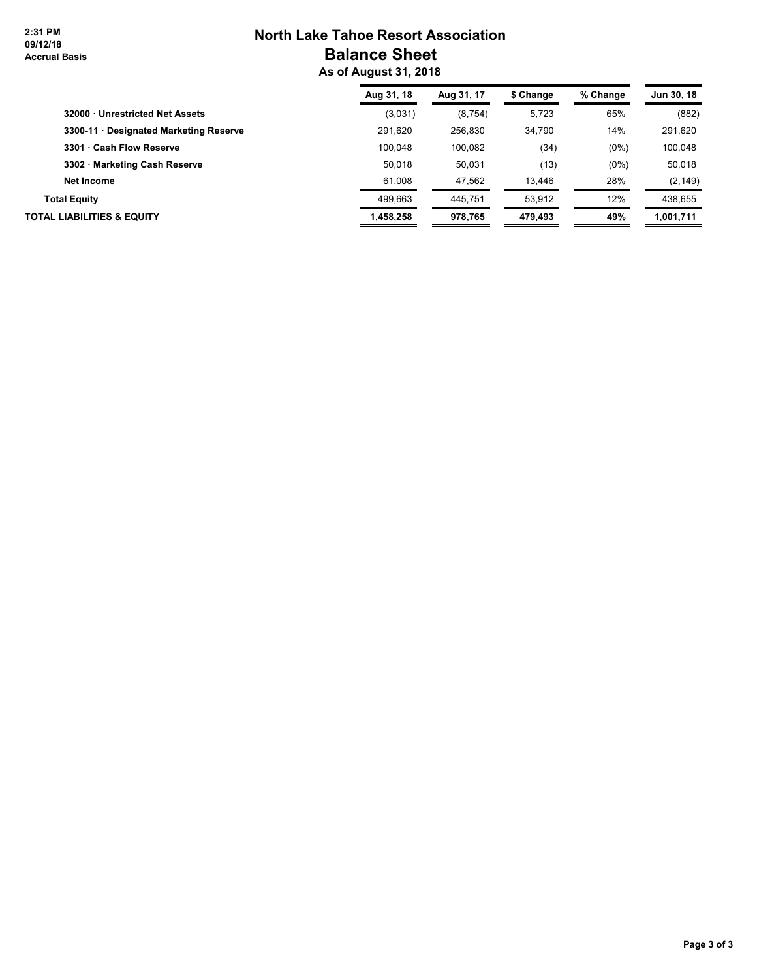**2:31 PM 09/12/18 Accrual Basis**

# **North Lake Tahoe Resort Association Balance Sheet**

 **As of August 31, 2018**

|                                        | Aug 31, 18 | Aug 31, 17 | \$ Change | % Change | Jun 30, 18 |
|----------------------------------------|------------|------------|-----------|----------|------------|
| 32000 · Unrestricted Net Assets        | (3,031)    | (8,754)    | 5,723     | 65%      | (882)      |
| 3300-11 · Designated Marketing Reserve | 291.620    | 256.830    | 34.790    | 14%      | 291,620    |
| 3301 · Cash Flow Reserve               | 100.048    | 100.082    | (34)      | $(0\%)$  | 100,048    |
| 3302 · Marketing Cash Reserve          | 50.018     | 50.031     | (13)      | $(0\%)$  | 50,018     |
| Net Income                             | 61.008     | 47.562     | 13,446    | 28%      | (2, 149)   |
| <b>Total Equity</b>                    | 499.663    | 445.751    | 53.912    | 12%      | 438.655    |
| <b>TOTAL LIABILITIES &amp; EQUITY</b>  | 1.458.258  | 978.765    | 479.493   | 49%      | 1,001,711  |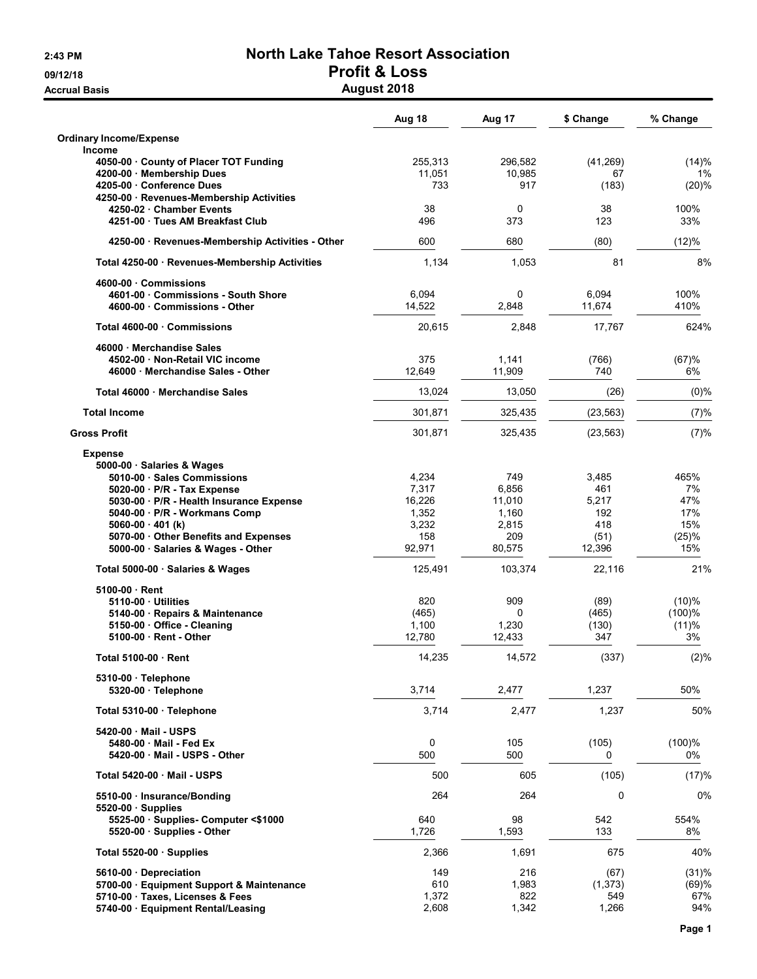## 2:43 PM North Lake Tahoe Resort Association 09/12/18 **Profit & Loss**

Accrual Basis **August 2018** 

|                                                                     | Aug 18         | Aug 17         | \$ Change  | % Change   |
|---------------------------------------------------------------------|----------------|----------------|------------|------------|
| <b>Ordinary Income/Expense</b><br><b>Income</b>                     |                |                |            |            |
| 4050-00 County of Placer TOT Funding                                | 255,313        | 296,582        | (41, 269)  | (14)%      |
| 4200-00 · Membership Dues                                           | 11.051         | 10,985         | 67         | 1%         |
| 4205-00 Conference Dues<br>4250-00 · Revenues-Membership Activities | 733            | 917            | (183)      | (20)%      |
| 4250-02 Chamber Events                                              | 38             | 0              | 38         | 100%       |
| 4251-00 · Tues AM Breakfast Club                                    | 496            | 373            | 123        | 33%        |
| 4250-00 · Revenues-Membership Activities - Other                    | 600            | 680            | (80)       | (12)%      |
| Total 4250-00 · Revenues-Membership Activities                      | 1,134          | 1,053          | 81         | 8%         |
| 4600-00 Commissions                                                 |                |                |            |            |
| 4601-00 Commissions - South Shore                                   | 6,094          | $\mathbf 0$    | 6,094      | 100%       |
| 4600-00 Commissions - Other                                         | 14,522         | 2,848          | 11,674     | 410%       |
| Total 4600-00 Commissions                                           | 20,615         | 2,848          | 17,767     | 624%       |
| 46000 Merchandise Sales                                             |                |                |            |            |
| 4502-00 Non-Retail VIC income                                       | 375            | 1,141          | (766)      | (67)%      |
| 46000 Merchandise Sales - Other                                     | 12,649         | 11,909         | 740        | 6%         |
| Total 46000 Merchandise Sales                                       | 13,024         | 13,050         | (26)       | $(0)\%$    |
| <b>Total Income</b>                                                 | 301.871        | 325,435        | (23, 563)  | (7)%       |
| <b>Gross Profit</b>                                                 | 301,871        | 325,435        | (23, 563)  | (7)%       |
| <b>Expense</b>                                                      |                |                |            |            |
| 5000-00 · Salaries & Wages                                          |                |                |            |            |
| 5010-00 Sales Commissions                                           | 4,234          | 749            | 3,485      | 465%       |
| 5020-00 · P/R - Tax Expense                                         | 7,317          | 6,856          | 461        | 7%         |
| 5030-00 · P/R - Health Insurance Expense                            | 16,226         | 11,010         | 5,217      | 47%        |
| 5040-00 · P/R - Workmans Comp<br>$5060-00 \cdot 401$ (k)            | 1,352<br>3,232 | 1,160<br>2,815 | 192<br>418 | 17%<br>15% |
| 5070-00 Other Benefits and Expenses                                 | 158            | 209            | (51)       | (25)%      |
| 5000-00 · Salaries & Wages - Other                                  | 92,971         | 80,575         | 12,396     | 15%        |
| Total 5000-00 · Salaries & Wages                                    | 125,491        | 103,374        | 22,116     | 21%        |
| 5100-00 Rent                                                        |                |                |            |            |
| 5110-00 Utilities                                                   | 820            | 909            | (89)       | (10)%      |
| 5140-00 · Repairs & Maintenance                                     | (465)          | 0              | (465)      | $(100)$ %  |
| 5150-00 Office - Cleaning                                           | 1,100          | 1,230          | (130)      | (11)%      |
| 5100-00 Rent - Other                                                | 12,780         | 12,433         | 347        | 3%         |
| Total 5100-00 · Rent                                                | 14,235         | 14,572         | (337)      | (2)%       |
| 5310-00 · Telephone                                                 |                |                |            |            |
| 5320-00 · Telephone                                                 | 3,714          | 2,477          | 1,237      | 50%        |
| Total 5310-00 · Telephone                                           | 3,714          | 2,477          | 1,237      | 50%        |
| 5420-00 Mail - USPS                                                 |                |                |            |            |
| 5480-00 · Mail - Fed Ex                                             | 0              | 105            | (105)      | (100)%     |
| 5420-00 Mail - USPS - Other                                         | 500            | 500            | 0          | 0%         |
| Total 5420-00 Mail - USPS                                           | 500            | 605            | (105)      | (17)%      |
| 5510-00 · Insurance/Bonding                                         | 264            | 264            | 0          | 0%         |
| $5520-00$ · Supplies                                                | 640            | 98             | 542        | 554%       |
| 5525-00 · Supplies- Computer <\$1000<br>5520-00 Supplies - Other    | 1,726          | 1,593          | 133        | 8%         |
| Total $5520-00$ · Supplies                                          | 2,366          | 1,691          | 675        | 40%        |
| 5610-00 Depreciation                                                | 149            | 216            | (67)       | (31)%      |
| 5700-00 · Equipment Support & Maintenance                           | 610            | 1,983          | (1, 373)   | (69)%      |
| 5710-00 · Taxes, Licenses & Fees                                    | 1,372          | 822            | 549        | 67%        |
| 5740-00 · Equipment Rental/Leasing                                  | 2,608          | 1,342          | 1,266      | 94%        |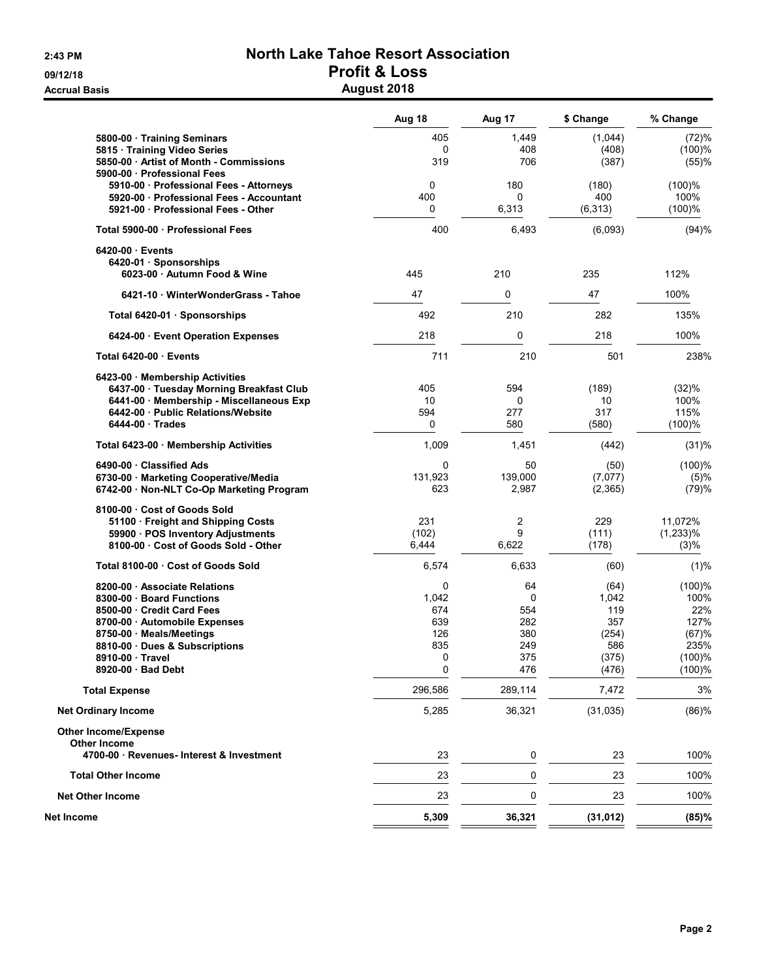### 2:43 PM North Lake Tahoe Resort Association 09/12/18 **Profit & Loss** Accrual Basis **August 2018**

|                                                                        | Aug 18       | Aug 17   | \$ Change    | % Change    |
|------------------------------------------------------------------------|--------------|----------|--------------|-------------|
| 5800-00 · Training Seminars                                            | 405          | 1,449    | (1,044)      | (72)%       |
| 5815 · Training Video Series                                           | $\Omega$     | 408      | (408)        | (100)%      |
| 5850-00 Artist of Month - Commissions                                  | 319          | 706      | (387)        | (55)%       |
| 5900-00 · Professional Fees<br>5910-00 · Professional Fees - Attorneys | 0            | 180      | (180)        | (100)%      |
| 5920-00 · Professional Fees - Accountant                               | 400          | 0        | 400          | 100%        |
| 5921-00 Professional Fees - Other                                      | 0            | 6,313    | (6, 313)     | (100)%      |
| Total 5900-00 · Professional Fees                                      | 400          | 6,493    | (6,093)      | (94)%       |
| 6420-00 · Events                                                       |              |          |              |             |
| 6420-01 Sponsorships                                                   |              |          |              |             |
| 6023-00 Autumn Food & Wine                                             | 445          | 210      | 235          | 112%        |
| 6421-10 WinterWonderGrass - Tahoe                                      | 47           | 0        | 47           | 100%        |
| Total 6420-01 · Sponsorships                                           | 492          | 210      | 282          | 135%        |
| 6424-00 · Event Operation Expenses                                     | 218          | 0        | 218          | 100%        |
| Total 6420-00 Events                                                   | 711          | 210      | 501          | 238%        |
| 6423-00 · Membership Activities                                        |              |          |              |             |
| 6437-00 · Tuesday Morning Breakfast Club                               | 405          | 594      | (189)        | (32)%       |
| 6441-00 · Membership - Miscellaneous Exp                               | 10           | 0        | 10           | 100%        |
| 6442-00 Public Relations/Website                                       | 594          | 277      | 317          | 115%        |
| $6444-00$ Trades                                                       | 0            | 580      | (580)        | (100)%      |
| Total 6423-00 · Membership Activities                                  | 1,009        | 1,451    | (442)        | (31)%       |
| 6490-00 Classified Ads                                                 | $\mathbf 0$  | 50       | (50)         | (100)%      |
| 6730-00 · Marketing Cooperative/Media                                  | 131,923      | 139,000  | (7,077)      | (5)%        |
| 6742-00 · Non-NLT Co-Op Marketing Program                              | 623          | 2,987    | (2, 365)     | (79)%       |
| 8100-00 Cost of Goods Sold                                             |              |          |              |             |
| 51100 · Freight and Shipping Costs                                     | 231          | 2        | 229          | 11,072%     |
| 59900 · POS Inventory Adjustments                                      | (102)        | 9        | (111)        | $(1,233)\%$ |
| 8100-00 Cost of Goods Sold - Other                                     | 6,444        | 6,622    | (178)        | (3)%        |
| Total 8100-00 Cost of Goods Sold                                       | 6,574        | 6,633    | (60)         | (1)%        |
| 8200-00 Associate Relations                                            | 0            | 64       | (64)         | $(100)$ %   |
| 8300-00 · Board Functions<br>8500-00 Credit Card Fees                  | 1,042<br>674 | 0<br>554 | 1,042<br>119 | 100%<br>22% |
| 8700-00 Automobile Expenses                                            | 639          | 282      | 357          | 127%        |
| 8750-00 · Meals/Meetings                                               | 126          | 380      | (254)        | (67)%       |
| 8810-00 Dues & Subscriptions                                           | 835          | 249      | 586          | 235%        |
| 8910-00 Travel                                                         | 0            | 375      | (375)        | $(100)$ %   |
| 8920-00 · Bad Debt                                                     | 0            | 476      | (476)        | (100)%      |
| <b>Total Expense</b>                                                   | 296,586      | 289,114  | 7,472        | 3%          |
| <b>Net Ordinary Income</b>                                             | 5,285        | 36,321   | (31, 035)    | (86)%       |
| <b>Other Income/Expense</b>                                            |              |          |              |             |
| <b>Other Income</b>                                                    |              |          |              |             |
| 4700-00 · Revenues- Interest & Investment                              | 23           | 0        | 23           | 100%        |
| <b>Total Other Income</b>                                              | 23           | 0        | 23           | 100%        |
| <b>Net Other Income</b>                                                | 23           | 0        | 23           | 100%        |
| Net Income                                                             | 5,309        | 36,321   | (31, 012)    | (85)%       |
|                                                                        |              |          |              |             |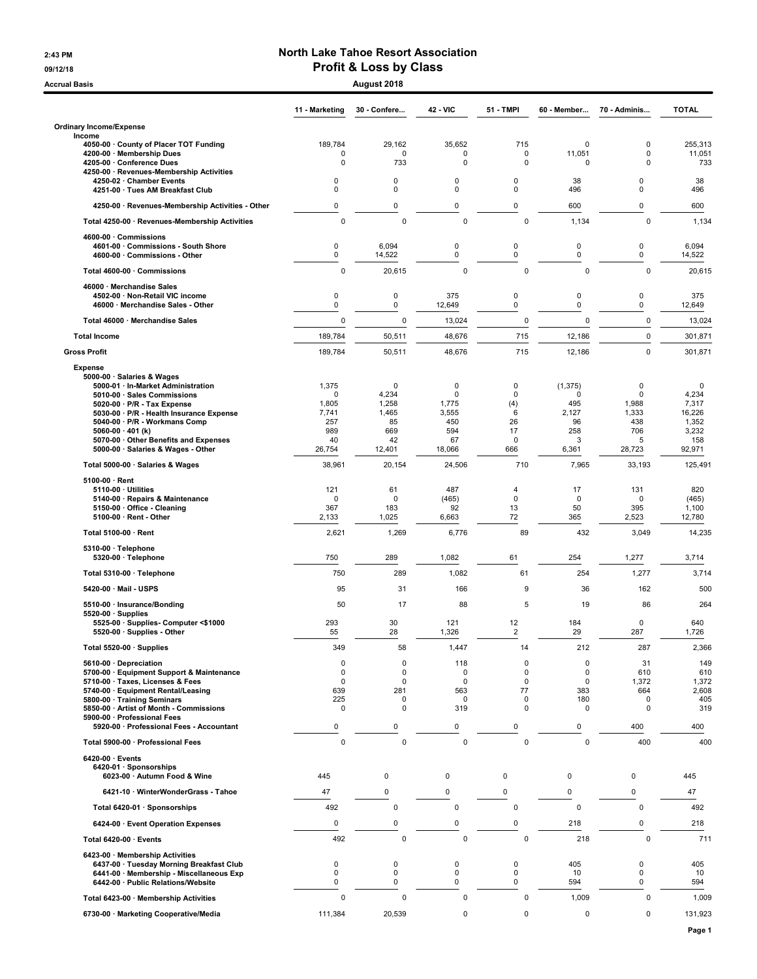#### 2:43 PM North Lake Tahoe Resort Association 09/12/18 09/12/18

| <b>Accrual Basis</b>                                                        |                   | August 2018          |                  |                  |                      |                  |                 |
|-----------------------------------------------------------------------------|-------------------|----------------------|------------------|------------------|----------------------|------------------|-----------------|
|                                                                             | 11 - Marketing    | 30 - Confere         | <b>42 - VIC</b>  | <b>51 - TMPI</b> | 60 Member            | 70 Adminis       | <b>TOTAL</b>    |
| <b>Ordinary Income/Expense</b>                                              |                   |                      |                  |                  |                      |                  |                 |
| Income<br>4050-00 County of Placer TOT Funding                              | 189,784           | 29,162               | 35,652           | 715              | 0                    | 0                | 255,313         |
| 4200-00 · Membership Dues                                                   | $\mathbf 0$       | $\mathbf 0$          | $\mathbf 0$      | 0                | 11,051               | $\mathbf 0$      | 11,051          |
| 4205-00 · Conference Dues<br>4250-00 · Revenues-Membership Activities       | 0                 | 733                  | $\mathbf 0$      | 0                | 0                    | $\mathbf 0$      | 733             |
| 4250-02 · Chamber Events                                                    | 0                 | 0                    | $\Omega$         | 0                | 38                   | 0                | 38              |
| 4251-00 · Tues AM Breakfast Club                                            | 0                 | $\mathbf 0$          | 0                | 0                | 496                  | 0                | 496             |
| 4250-00 · Revenues-Membership Activities - Other                            | 0                 | $\mathsf 0$          | 0                | 0                | 600                  | 0                | 600             |
| Total 4250-00 · Revenues-Membership Activities                              | $\mathbf 0$       | $\mathbf 0$          | $\mathbf 0$      | $\mathbf 0$      | 1,134                | $\mathbf 0$      | 1,134           |
| 4600-00 · Commissions                                                       |                   |                      |                  |                  |                      |                  |                 |
| 4601-00 Commissions - South Shore<br>4600-00 · Commissions - Other          | 0<br>0            | 6,094<br>14,522      | 0<br>0           | 0<br>0           | $\mathbf 0$<br>0     | 0<br>0           | 6,094<br>14,522 |
| Total 4600-00 · Commissions                                                 | 0                 | 20,615               | $\mathbf 0$      | 0                | 0                    | $\mathbf 0$      | 20,615          |
| 46000 · Merchandise Sales                                                   |                   |                      |                  |                  |                      |                  |                 |
| 4502-00 · Non-Retail VIC income                                             | 0                 | $\mathsf 0$          | 375              | 0                | $\mathbf 0$          | 0                | 375             |
| 46000 · Merchandise Sales - Other                                           | 0                 | 0                    | 12,649           | 0                | $\mathbf 0$          | 0                | 12,649          |
| Total 46000 · Merchandise Sales                                             | 0                 | $\mathbf 0$          | 13,024           | 0                | $\Omega$             | $\mathbf 0$      | 13,024          |
| <b>Total Income</b>                                                         | 189,784           | 50,511               | 48,676           | 715              | 12,186               | $\mathbf 0$      | 301,871         |
| <b>Gross Profit</b>                                                         | 189,784           | 50,511               | 48,676           | 715              | 12,186               | $\mathbf 0$      | 301,871         |
| <b>Expense</b>                                                              |                   |                      |                  |                  |                      |                  |                 |
| 5000-00 · Salaries & Wages                                                  |                   |                      |                  |                  |                      |                  |                 |
| 5000-01 · In-Market Administration<br>5010-00 · Sales Commissions           | 1,375<br>$\Omega$ | $\mathbf 0$<br>4,234 | 0<br>$\mathbf 0$ | 0<br>$\mathbf 0$ | (1, 375)<br>$\Omega$ | 0<br>0           | 0<br>4,234      |
| 5020-00 $\cdot$ P/R - Tax Expense                                           | 1,805             | 1,258                | 1,775            | (4)              | 495                  | 1,988            | 7,317           |
| 5030-00 · P/R - Health Insurance Expense<br>5040-00 · P/R - Workmans Comp   | 7,741<br>257      | 1,465<br>85          | 3,555<br>450     | 6<br>26          | 2,127<br>96          | 1,333<br>438     | 16,226<br>1,352 |
| 5060-00 $\cdot$ 401 (k)                                                     | 989               | 669                  | 594              | 17               | 258                  | 706              | 3,232           |
| 5070-00 · Other Benefits and Expenses<br>5000-00 · Salaries & Wages - Other | 40                | 42                   | 67               | 0<br>666         | 3<br>6,361           | 5                | 158             |
|                                                                             | 26,754            | 12,401               | 18,066           |                  |                      | 28,723           | 92,971          |
| Total 5000-00 · Salaries & Wages                                            | 38,961            | 20,154               | 24,506           | 710              | 7,965                | 33,193           | 125,491         |
| $5100-00 \cdot$ Rent<br>$5110-00 \cdot$ Utilities                           | 121               | 61                   | 487              | 4                | 17                   | 131              | 820             |
| 5140-00 · Repairs & Maintenance                                             | $\mathbf 0$       | $\mathbf 0$          | (465)            | $\mathbf 0$      | $\mathbf 0$          | $\mathbf 0$      | (465)           |
| 5150-00 · Office - Cleaning<br>5100-00 · Rent - Other                       | 367<br>2,133      | 183<br>1,025         | 92<br>6,663      | 13<br>72         | 50<br>365            | 395<br>2,523     | 1,100<br>12,780 |
|                                                                             |                   |                      |                  | 89               | 432                  |                  |                 |
| Total 5100-00 · Rent                                                        | 2,621             | 1,269                | 6,776            |                  |                      | 3,049            | 14,235          |
| 5310-00 · Telephone<br>$5320-00 \cdot$ Telephone                            | 750               | 289                  | 1,082            | 61               | 254                  | 1,277            | 3,714           |
| Total 5310-00 · Telephone                                                   | 750               | 289                  | 1,082            | 61               | 254                  | 1,277            | 3,714           |
| 5420-00 · Mail - USPS                                                       | 95                | 31                   | 166              | 9                | 36                   | 162              | 500             |
|                                                                             |                   |                      |                  |                  |                      |                  |                 |
| 5510-00 · Insurance/Bonding<br>$5520-00 \cdot$ Supplies                     | 50                | 17                   | 88               | 5                | 19                   | 86               | 264             |
| 5525-00 · Supplies- Computer <\$1000                                        | 293               | 30                   | 121              | 12               | 184                  | 0                | 640             |
| 5520-00 · Supplies - Other                                                  | 55                | 28                   | 1,326            | z                | 29                   | 287              | 1,726           |
| Total 5520-00 · Supplies                                                    | 349               | 58                   | 1,447            | 14               | 212                  | 287              | 2,366           |
| 5610-00 Depreciation<br>5700-00 · Equipment Support & Maintenance           | 0<br>$\mathbf 0$  | $\mathbf 0$<br>0     | 118<br>0         | 0<br>0           | 0<br>0               | 31<br>610        | 149<br>610      |
| 5710-00 · Taxes, Licenses & Fees                                            | $\mathbf 0$       | $\mathbf 0$          | $\mathbf 0$      | $\mathbf 0$      | 0                    | 1,372            | 1,372           |
| 5740-00 · Equipment Rental/Leasing                                          | 639               | 281                  | 563              | 77               | 383                  | 664              | 2,608           |
| 5800-00 · Training Seminars<br>5850-00 · Artist of Month - Commissions      | 225<br>0          | 0<br>0               | 0<br>319         | 0<br>0           | 180<br>$\mathbf 0$   | 0<br>$\mathbf 0$ | 405<br>319      |
| 5900-00 · Professional Fees                                                 |                   |                      | 0                |                  |                      |                  |                 |
| 5920-00 · Professional Fees - Accountant                                    | 0                 | 0                    |                  | 0                | 0                    | 400              | 400             |
| Total 5900-00 · Professional Fees                                           | $\pmb{0}$         | $\pmb{0}$            | $\mathbf 0$      | 0                | $\mathbf 0$          | 400              | 400             |
| 6420-00 · Events<br>6420-01 · Sponsorships                                  |                   |                      |                  |                  |                      |                  |                 |
| 6023-00 · Autumn Food & Wine                                                | 445               | 0                    | 0                | $\mathbf 0$      | 0                    | 0                | 445             |
| 6421-10 · WinterWonderGrass - Tahoe                                         | 47                | 0                    | 0                | $\mathbf 0$      | 0                    | 0                | 47              |
| Total 6420-01 · Sponsorships                                                | 492               | $\mathbf 0$          | 0                | $\mathbf 0$      | $\mathbf 0$          | 0                | 492             |
| 6424-00 · Event Operation Expenses                                          | 0                 | 0                    | 0                | 0                | 218                  | 0                | 218             |
|                                                                             |                   |                      |                  | $\mathbf 0$      |                      |                  |                 |
| Total 6420-00 · Events                                                      | 492               | $\mathbf 0$          | $\mathbf 0$      |                  | 218                  | $\mathbf 0$      | 711             |
| 6423-00 · Membership Activities<br>6437-00 · Tuesday Morning Breakfast Club | 0                 | 0                    | 0                | 0                | 405                  | 0                | 405             |
| 6441-00 · Membership - Miscellaneous Exp                                    | 0                 | 0                    | $\mathbf 0$      | 0                | 10                   | 0                | 10              |
| 6442-00 · Public Relations/Website                                          | 0                 | 0                    | 0                | 0                | 594                  | 0                | 594             |
| Total 6423-00 · Membership Activities                                       | $\mathbf 0$       | $\pmb{0}$            | $\pmb{0}$        | 0                | 1,009                | $\pmb{0}$        | 1,009           |
| 6730-00 · Marketing Cooperative/Media                                       | 111,384           | 20,539               | 0                | 0                | $\mathbf 0$          | $\pmb{0}$        | 131,923         |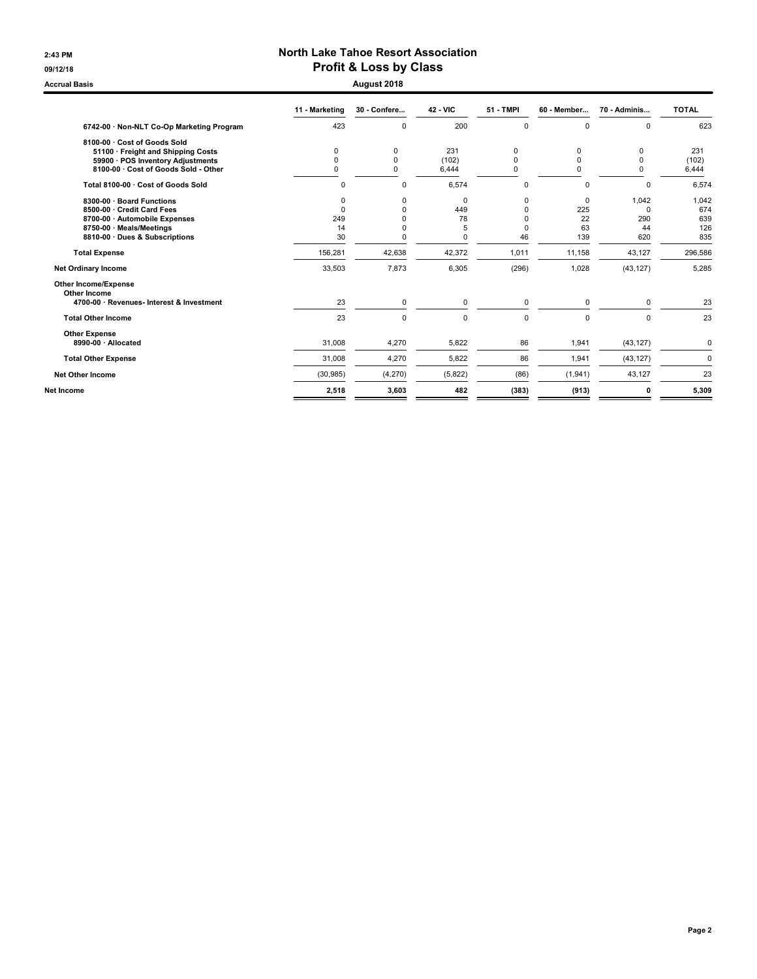### 2:43 PM North Lake Tahoe Resort Association 09/12/18 09/12/18

Accrual Basis August 2018

|                                             | 11 - Marketing | 30 - Confere | <b>42 - VIC</b> | <b>51 - TMPI</b> | 60 - Member | 70 - Adminis | <b>TOTAL</b> |
|---------------------------------------------|----------------|--------------|-----------------|------------------|-------------|--------------|--------------|
| 6742-00 · Non-NLT Co-Op Marketing Program   | 423            | $\mathbf 0$  | 200             | 0                | 0           | $\mathbf 0$  | 623          |
| 8100-00 · Cost of Goods Sold                |                |              |                 |                  |             |              |              |
| 51100 · Freight and Shipping Costs          | 0              | 0            | 231             | 0                | 0           | 0            | 231          |
| 59900 · POS Inventory Adjustments           | $\Omega$       | $\Omega$     | (102)           | $\Omega$         | $\Omega$    | $\mathbf 0$  | (102)        |
| 8100-00 · Cost of Goods Sold - Other        | 0              | $\Omega$     | 6,444           | $\Omega$         | 0           | $\Omega$     | 6,444        |
| Total 8100-00 · Cost of Goods Sold          | 0              | $\mathbf 0$  | 6,574           | $\mathbf 0$      | $\mathbf 0$ | $\Omega$     | 6,574        |
| 8300-00 · Board Functions                   | O              | $\mathbf 0$  | 0               | 0                | 0           | 1,042        | 1,042        |
| 8500-00 Credit Card Fees                    | $\Omega$       | $\Omega$     | 449             | 0                | 225         | $\Omega$     | 674          |
| 8700-00 · Automobile Expenses               | 249            | 0            | 78              | $\Omega$         | 22          | 290          | 639          |
| 8750-00 · Meals/Meetings                    | 14             | $\mathbf 0$  | 5               | $\Omega$         | 63          | 44           | 126          |
| 8810-00 Dues & Subscriptions                | 30             | $\Omega$     | $\Omega$        | 46               | 139         | 620          | 835          |
| <b>Total Expense</b>                        | 156,281        | 42,638       | 42,372          | 1,011            | 11,158      | 43,127       | 296,586      |
| <b>Net Ordinary Income</b>                  | 33,503         | 7,873        | 6,305           | (296)            | 1,028       | (43, 127)    | 5,285        |
| <b>Other Income/Expense</b><br>Other Income |                |              |                 |                  |             |              |              |
| 4700-00 · Revenues- Interest & Investment   | 23             | $\mathbf 0$  | $\mathbf 0$     | $\mathbf 0$      | $\Omega$    | $\Omega$     | 23           |
| <b>Total Other Income</b>                   | 23             | $\mathbf 0$  | $\mathbf 0$     | $\mathbf 0$      | $\mathbf 0$ | $\mathbf 0$  | 23           |
| <b>Other Expense</b>                        |                |              |                 |                  |             |              |              |
| 8990-00 · Allocated                         | 31,008         | 4,270        | 5.822           | 86               | 1,941       | (43, 127)    | $\mathbf 0$  |
| <b>Total Other Expense</b>                  | 31,008         | 4,270        | 5,822           | 86               | 1,941       | (43, 127)    | $\mathbf 0$  |
| <b>Net Other Income</b>                     | (30, 985)      | (4, 270)     | (5,822)         | (86)             | (1, 941)    | 43,127       | 23           |
| Net Income                                  | 2,518          | 3,603        | 482             | (383)            | (913)       | 0            | 5,309        |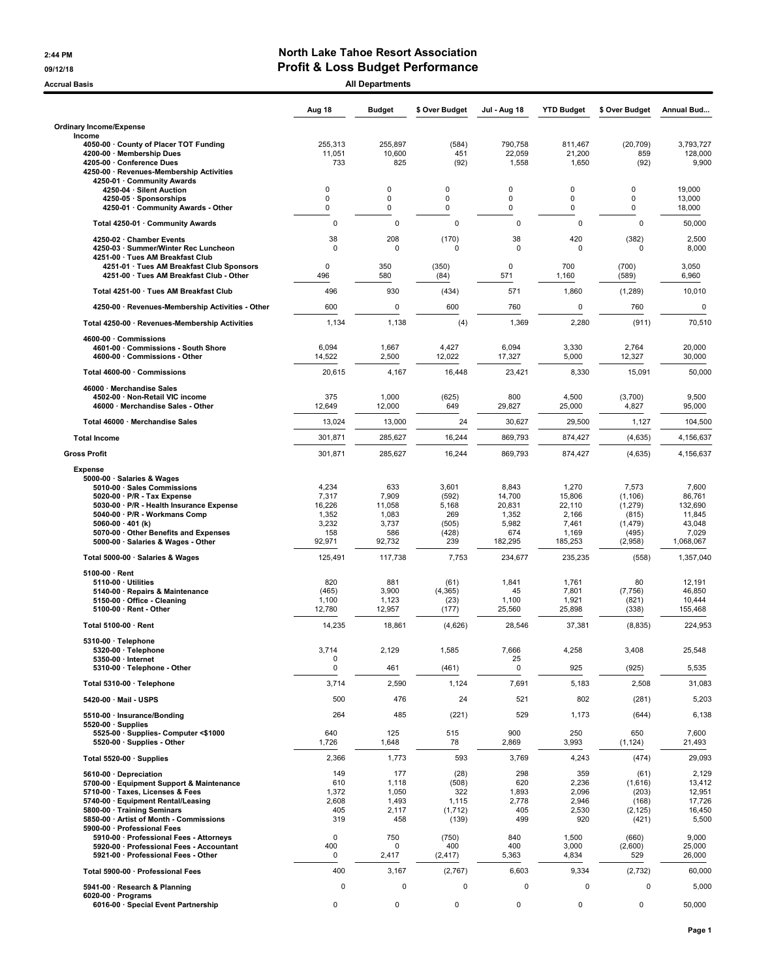#### 2:44 PM North Lake Tahoe Resort Association 09/12/18 09/12/18

Accrual Basis **Accrual Basis** All Departments

|                                                                                                                                                                                                                                                                                                         | Aug 18                                                      | <b>Budget</b>                                             | \$ Over Budget                                             | Jul - Aug 18                                                  | <b>YTD Budget</b>                                               | \$ Over Budget                                                        | Annual Bud                                                           |
|---------------------------------------------------------------------------------------------------------------------------------------------------------------------------------------------------------------------------------------------------------------------------------------------------------|-------------------------------------------------------------|-----------------------------------------------------------|------------------------------------------------------------|---------------------------------------------------------------|-----------------------------------------------------------------|-----------------------------------------------------------------------|----------------------------------------------------------------------|
| <b>Ordinary Income/Expense</b>                                                                                                                                                                                                                                                                          |                                                             |                                                           |                                                            |                                                               |                                                                 |                                                                       |                                                                      |
| Income<br>4050-00 County of Placer TOT Funding<br>4200-00 · Membership Dues<br>4205-00 · Conference Dues<br>4250-00 · Revenues-Membership Activities                                                                                                                                                    | 255,313<br>11,051<br>733                                    | 255,897<br>10,600<br>825                                  | (584)<br>451<br>(92)                                       | 790,758<br>22,059<br>1,558                                    | 811,467<br>21,200<br>1,650                                      | (20, 709)<br>859<br>(92)                                              | 3,793,727<br>128,000<br>9,900                                        |
| 4250-01 · Community Awards<br>4250-04 · Silent Auction<br>4250-05 · Sponsorships<br>4250-01 · Community Awards - Other                                                                                                                                                                                  | $\Omega$<br>$\mathbf 0$<br>0                                | 0<br>0<br>0                                               | $\Omega$<br>0<br>0                                         | 0<br>0<br>0                                                   | 0<br>0<br>0                                                     | 0<br>$\mathbf 0$<br>0                                                 | 19,000<br>13,000<br>18,000                                           |
| Total 4250-01 · Community Awards                                                                                                                                                                                                                                                                        | $\mathbf 0$                                                 | $\mathbf 0$                                               | $\Omega$                                                   | $\Omega$                                                      | $\Omega$                                                        | $\Omega$                                                              | 50,000                                                               |
| 4250-02 · Chamber Events<br>4250-03 · Summer/Winter Rec Luncheon<br>4251-00 · Tues AM Breakfast Club<br>4251-01 · Tues AM Breakfast Club Sponsors                                                                                                                                                       | 38<br>$\mathbf 0$<br>$\mathbf 0$                            | 208<br>$\mathbf 0$<br>350                                 | (170)<br>$\mathbf 0$<br>(350)                              | 38<br>$\mathbf 0$<br>0                                        | 420<br>0<br>700                                                 | (382)<br>0<br>(700)                                                   | 2,500<br>8,000<br>3,050                                              |
| 4251-00 · Tues AM Breakfast Club - Other                                                                                                                                                                                                                                                                | 496                                                         | 580                                                       | (84)                                                       | 571                                                           | 1,160                                                           | (589)                                                                 | 6,960                                                                |
| Total 4251-00 Tues AM Breakfast Club                                                                                                                                                                                                                                                                    | 496                                                         | 930                                                       | (434)                                                      | 571                                                           | 1,860                                                           | (1,289)                                                               | 10,010                                                               |
| 4250-00 · Revenues-Membership Activities - Other                                                                                                                                                                                                                                                        | 600                                                         | $\mathbf 0$                                               | 600                                                        | 760                                                           | 0                                                               | 760                                                                   | $\pmb{0}$                                                            |
| Total 4250-00 · Revenues-Membership Activities                                                                                                                                                                                                                                                          | 1,134                                                       | 1,138                                                     | (4)                                                        | 1,369                                                         | 2,280                                                           | (911)                                                                 | 70,510                                                               |
| 4600-00 · Commissions<br>4601-00 · Commissions - South Shore<br>4600-00 · Commissions - Other                                                                                                                                                                                                           | 6,094<br>14,522                                             | 1,667<br>2,500                                            | 4,427<br>12,022                                            | 6,094<br>17,327                                               | 3,330<br>5,000                                                  | 2,764<br>12,327                                                       | 20,000<br>30,000                                                     |
| Total 4600-00 · Commissions                                                                                                                                                                                                                                                                             | 20,615                                                      | 4,167                                                     | 16,448                                                     | 23,421                                                        | 8,330                                                           | 15,091                                                                | 50,000                                                               |
| 46000 · Merchandise Sales<br>4502-00 · Non-Retail VIC income<br>46000 · Merchandise Sales - Other                                                                                                                                                                                                       | 375<br>12,649                                               | 1,000<br>12,000                                           | (625)<br>649                                               | 800<br>29,827                                                 | 4,500<br>25,000                                                 | (3,700)<br>4,827                                                      | 9,500<br>95,000                                                      |
| Total 46000 · Merchandise Sales                                                                                                                                                                                                                                                                         | 13,024                                                      | 13,000                                                    | 24                                                         | 30,627                                                        | 29,500                                                          | 1,127                                                                 | 104,500                                                              |
| <b>Total Income</b>                                                                                                                                                                                                                                                                                     | 301,871                                                     | 285,627                                                   | 16,244                                                     | 869,793                                                       | 874,427                                                         | (4,635)                                                               | 4,156,637                                                            |
| <b>Gross Profit</b>                                                                                                                                                                                                                                                                                     | 301,871                                                     | 285,627                                                   | 16,244                                                     | 869,793                                                       | 874,427                                                         | (4,635)                                                               | 4,156,637                                                            |
| <b>Expense</b><br>5000-00 · Salaries & Wages<br>5010-00 · Sales Commissions<br>5020-00 $\cdot$ P/R - Tax Expense<br>5030-00 · P/R - Health Insurance Expense<br>5040-00 · P/R - Workmans Comp<br>5060-00 $\cdot$ 401 (k)<br>5070-00 · Other Benefits and Expenses<br>5000-00 · Salaries & Wages - Other | 4,234<br>7,317<br>16,226<br>1,352<br>3,232<br>158<br>92,971 | 633<br>7,909<br>11,058<br>1,083<br>3,737<br>586<br>92,732 | 3,601<br>(592)<br>5,168<br>269<br>(505)<br>(428)<br>239    | 8,843<br>14,700<br>20,831<br>1,352<br>5,982<br>674<br>182,295 | 1,270<br>15,806<br>22,110<br>2,166<br>7,461<br>1,169<br>185,253 | 7,573<br>(1, 106)<br>(1,279)<br>(815)<br>(1, 479)<br>(495)<br>(2,958) | 7,600<br>86,761<br>132,690<br>11,845<br>43,048<br>7,029<br>1,068,067 |
| Total 5000-00 · Salaries & Wages                                                                                                                                                                                                                                                                        | 125,491                                                     | 117,738                                                   | 7,753                                                      | 234,677                                                       | 235,235                                                         | (558)                                                                 | 1,357,040                                                            |
| $5100-00 \cdot$ Rent<br>5110-00 · Utilities<br>5140-00 · Repairs & Maintenance<br>5150-00 · Office - Cleaning<br>$5100-00 \cdot$ Rent - Other                                                                                                                                                           | 820<br>(465)<br>1,100<br>12,780                             | 881<br>3,900<br>1,123<br>12,957                           | (61)<br>(4, 365)<br>(23)<br>(177)                          | 1,841<br>45<br>1,100<br>25,560                                | 1,761<br>7,801<br>1,921<br>25,898                               | 80<br>(7, 756)<br>(821)<br>(338)                                      | 12,191<br>46,850<br>10,444<br>155,468                                |
| Total 5100-00 · Rent                                                                                                                                                                                                                                                                                    | 14,235                                                      | 18,861                                                    | (4,626)                                                    | 28,546                                                        | 37,381                                                          | (8, 835)                                                              | 224,953                                                              |
| 5310-00 · Telephone<br>5320-00 · Telephone<br>5350-00 · Internet<br>5310-00 · Telephone - Other                                                                                                                                                                                                         | 3,714<br>0<br>0                                             | 2,129<br>461                                              | 1,585<br>(461)                                             | 7,666<br>25<br>$\pmb{0}$                                      | 4,258<br>925                                                    | 3,408<br>(925)                                                        | 25,548<br>5,535                                                      |
| Total 5310-00 · Telephone                                                                                                                                                                                                                                                                               | 3,714                                                       | 2,590                                                     | 1,124                                                      | 7,691                                                         | 5,183                                                           | 2,508                                                                 | 31,083                                                               |
| 5420-00 · Mail - USPS                                                                                                                                                                                                                                                                                   | 500                                                         | 476                                                       | 24                                                         | 521                                                           | 802                                                             | (281)                                                                 | 5,203                                                                |
| 5510-00 · Insurance/Bonding<br>$5520-00 \cdot$ Supplies<br>5525-00 · Supplies- Computer <\$1000                                                                                                                                                                                                         | 264<br>640                                                  | 485<br>125                                                | (221)<br>515                                               | 529<br>900                                                    | 1,173<br>250                                                    | (644)<br>650                                                          | 6,138<br>7,600                                                       |
| 5520-00 · Supplies - Other                                                                                                                                                                                                                                                                              | 1,726                                                       | 1,648                                                     | 78                                                         | 2,869                                                         | 3,993                                                           | (1, 124)                                                              | 21,493                                                               |
| Total 5520-00 · Supplies                                                                                                                                                                                                                                                                                | 2,366                                                       | 1,773                                                     | 593                                                        | 3,769                                                         | 4,243                                                           | (474)                                                                 | 29,093                                                               |
| 5610-00 Depreciation<br>5700-00 · Equipment Support & Maintenance<br>5710-00 · Taxes, Licenses & Fees<br>5740-00 · Equipment Rental/Leasing<br>5800-00 · Training Seminars<br>5850-00 · Artist of Month - Commissions<br>5900-00 · Professional Fees<br>5910-00 · Professional Fees - Attorneys         | 149<br>610<br>1,372<br>2,608<br>405<br>319<br>0             | 177<br>1,118<br>1,050<br>1,493<br>2,117<br>458<br>750     | (28)<br>(508)<br>322<br>1,115<br>(1,712)<br>(139)<br>(750) | 298<br>620<br>1,893<br>2,778<br>405<br>499<br>840             | 359<br>2,236<br>2,096<br>2,946<br>2,530<br>920<br>1,500         | (61)<br>(1,616)<br>(203)<br>(168)<br>(2, 125)<br>(421)<br>(660)       | 2,129<br>13,412<br>12,951<br>17,726<br>16,450<br>5,500<br>9,000      |
| 5920-00 · Professional Fees - Accountant<br>5921-00 · Professional Fees - Other                                                                                                                                                                                                                         | 400<br>0                                                    | $\mathbf 0$<br>2,417                                      | 400<br>(2, 417)                                            | 400<br>5,363                                                  | 3,000<br>4,834                                                  | (2,600)<br>529                                                        | 25,000<br>26,000                                                     |
| Total 5900-00 · Professional Fees                                                                                                                                                                                                                                                                       | 400                                                         | 3,167                                                     | (2,767)                                                    | 6,603                                                         | 9,334                                                           | (2, 732)                                                              | 60,000                                                               |
| 5941-00 · Research & Planning<br>6020-00 · Programs<br>6016-00 · Special Event Partnership                                                                                                                                                                                                              | 0<br>0                                                      | 0<br>$\pmb{0}$                                            | 0<br>0                                                     | 0<br>0                                                        | $\mathbf 0$<br>0                                                | 0<br>0                                                                | 5,000<br>50,000                                                      |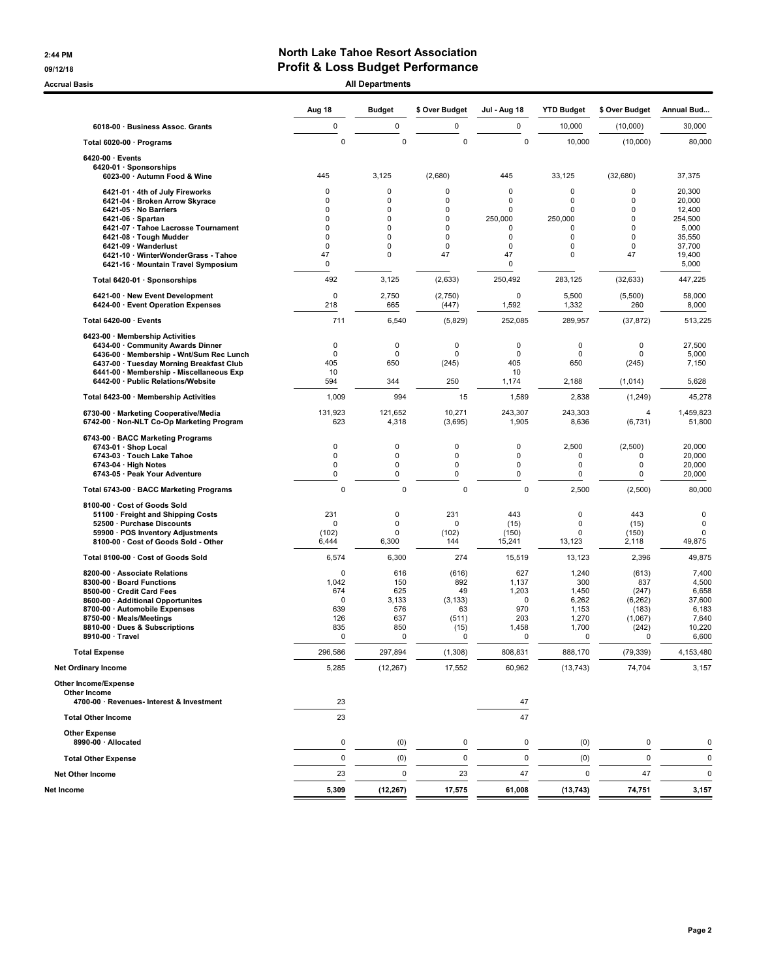### 2:44 PM North Lake Tahoe Resort Association 09/12/18 09/12/18

Accrual Basis **Accrual Basis** All Departments

| 6018-00 · Business Assoc. Grants<br>Total 6020-00 · Programs<br>6420-00 · Events<br>6420-01 · Sponsorships<br>6023-00 · Autumn Food & Wine                                                                                                       | 0<br>$\mathbf 0$<br>445<br>$\mathbf 0$<br>$\mathbf 0$<br>$\mathbf 0$ | 0<br>$\mathbf 0$<br>3,125<br>0                       | 0<br>0<br>(2,680)                                          | 0<br>$\mathbf 0$                                              | 10,000<br>10,000                                               | (10,000)<br>(10,000)                                                          | 30,000<br>80,000                                                       |
|--------------------------------------------------------------------------------------------------------------------------------------------------------------------------------------------------------------------------------------------------|----------------------------------------------------------------------|------------------------------------------------------|------------------------------------------------------------|---------------------------------------------------------------|----------------------------------------------------------------|-------------------------------------------------------------------------------|------------------------------------------------------------------------|
|                                                                                                                                                                                                                                                  |                                                                      |                                                      |                                                            |                                                               |                                                                |                                                                               |                                                                        |
|                                                                                                                                                                                                                                                  |                                                                      |                                                      |                                                            |                                                               |                                                                |                                                                               |                                                                        |
|                                                                                                                                                                                                                                                  |                                                                      |                                                      |                                                            | 445                                                           | 33,125                                                         | (32, 680)                                                                     | 37,375                                                                 |
| 6421-01 · 4th of July Fireworks<br>6421-04 · Broken Arrow Skyrace<br>6421-05 · No Barriers<br>$6421-06 \cdot$ Spartan                                                                                                                            | $\mathbf 0$                                                          | 0<br>0<br>0                                          | 0<br>0<br>0<br>0                                           | $\Omega$<br>$\Omega$<br>$\Omega$<br>250,000                   | $\mathbf 0$<br>$\mathbf 0$<br>$\mathbf 0$<br>250,000           | $\mathbf 0$<br>$\mathbf 0$<br>$\mathbf 0$<br>$\Omega$                         | 20,300<br>20,000<br>12,400<br>254,500                                  |
| 6421-07 · Tahoe Lacrosse Tournament<br>6421-08 · Tough Mudder<br>6421-09 · Wanderlust<br>6421-10 · WinterWonderGrass - Tahoe                                                                                                                     | $\mathbf 0$<br>$\mathbf 0$<br>$\mathbf 0$<br>47                      | 0<br>0<br>0<br>0                                     | 0<br>0<br>0<br>47                                          | 0<br>0<br>0<br>47                                             | $\mathbf 0$<br>$\mathbf 0$<br>$\mathbf 0$<br>$\mathbf 0$       | $\mathbf 0$<br>$\Omega$<br>0<br>47                                            | 5,000<br>35,550<br>37,700<br>19,400                                    |
| 6421-16 · Mountain Travel Symposium<br>Total 6420-01 · Sponsorships                                                                                                                                                                              | 0<br>492                                                             | 3,125                                                | (2,633)                                                    | 0<br>250,492                                                  | 283,125                                                        | (32, 633)                                                                     | 5,000<br>447,225                                                       |
| 6421-00 · New Event Development<br>6424-00 · Event Operation Expenses                                                                                                                                                                            | $\mathbf 0$<br>218                                                   | 2,750<br>665                                         | (2,750)<br>(447)                                           | 0<br>1,592                                                    | 5,500<br>1,332                                                 | (5,500)<br>260                                                                | 58,000<br>8,000                                                        |
| Total 6420-00 · Events                                                                                                                                                                                                                           | 711                                                                  | 6,540                                                | (5,829)                                                    | 252,085                                                       | 289,957                                                        | (37, 872)                                                                     | 513,225                                                                |
| 6423-00 · Membership Activities<br>6434-00 Community Awards Dinner<br>6436-00 · Membership - Wnt/Sum Rec Lunch<br>6437-00 · Tuesday Morning Breakfast Club<br>6441-00 · Membership - Miscellaneous Exp<br>6442-00 · Public Relations/Website     | 0<br>0<br>405<br>10<br>594                                           | 0<br>0<br>650<br>344                                 | 0<br>0<br>(245)<br>250                                     | 0<br>0<br>405<br>10<br>1,174                                  | $\mathbf 0$<br>0<br>650<br>2,188                               | 0<br>0<br>(245)<br>(1,014)                                                    | 27,500<br>5,000<br>7,150<br>5,628                                      |
| Total 6423-00 · Membership Activities                                                                                                                                                                                                            | 1,009                                                                | 994                                                  | 15                                                         | 1,589                                                         | 2,838                                                          | (1, 249)                                                                      | 45,278                                                                 |
| 6730-00 · Marketing Cooperative/Media<br>6742-00 · Non-NLT Co-Op Marketing Program                                                                                                                                                               | 131,923<br>623                                                       | 121,652<br>4,318                                     | 10,271<br>(3,695)                                          | 243,307<br>1,905                                              | 243,303<br>8,636                                               | 4<br>(6, 731)                                                                 | 1,459,823<br>51,800                                                    |
| 6743-00 · BACC Marketing Programs<br>6743-01 · Shop Local<br>6743-03 · Touch Lake Tahoe<br>6743-04 · High Notes<br>6743-05 · Peak Your Adventure                                                                                                 | 0<br>0<br>0<br>0                                                     | 0<br>$\mathbf 0$<br>$\mathbf 0$<br>$\mathbf 0$       | 0<br>$\mathbf 0$<br>$\mathbf 0$<br>$\mathbf 0$             | 0<br>0<br>0<br>0                                              | 2,500<br>0<br>$\mathbf 0$<br>0                                 | (2,500)<br>$\Omega$<br>0<br>0                                                 | 20,000<br>20,000<br>20,000<br>20,000                                   |
| Total 6743-00 · BACC Marketing Programs                                                                                                                                                                                                          | $\mathbf 0$                                                          | $\mathbf 0$                                          | $\mathbf 0$                                                | $\mathbf 0$                                                   | 2,500                                                          | (2,500)                                                                       | 80,000                                                                 |
| 8100-00 · Cost of Goods Sold<br>51100 · Freight and Shipping Costs<br>52500 · Purchase Discounts<br>59900 · POS Inventory Adjustments<br>8100-00 · Cost of Goods Sold - Other                                                                    | 231<br>0<br>(102)<br>6,444                                           | 0<br>$\mathbf 0$<br>$\mathbf 0$<br>6,300             | 231<br>$\Omega$<br>(102)<br>144                            | 443<br>(15)<br>(150)<br>15,241                                | $\mathbf 0$<br>$\mathbf 0$<br>$\mathbf 0$<br>13,123            | 443<br>(15)<br>(150)<br>2,118                                                 | 0<br>$\mathbf 0$<br>$\mathbf 0$<br>49,875                              |
| Total 8100-00 · Cost of Goods Sold                                                                                                                                                                                                               | 6,574                                                                | 6,300                                                | 274                                                        | 15,519                                                        | 13,123                                                         | 2,396                                                                         | 49,875                                                                 |
| 8200-00 · Associate Relations<br>8300-00 · Board Functions<br>8500-00 · Credit Card Fees<br>8600-00 · Additional Opportunites<br>8700-00 · Automobile Expenses<br>8750-00 · Meals/Meetings<br>8810-00 · Dues & Subscriptions<br>8910-00 · Travel | 0<br>1,042<br>674<br>$\mathbf 0$<br>639<br>126<br>835<br>0           | 616<br>150<br>625<br>3,133<br>576<br>637<br>850<br>0 | (616)<br>892<br>49<br>(3, 133)<br>63<br>(511)<br>(15)<br>0 | 627<br>1,137<br>1,203<br>$\Omega$<br>970<br>203<br>1,458<br>0 | 1,240<br>300<br>1,450<br>6,262<br>1,153<br>1,270<br>1,700<br>0 | (613)<br>837<br>(247)<br>(6, 262)<br>(183)<br>(1,067)<br>(242)<br>$\mathbf 0$ | 7,400<br>4,500<br>6,658<br>37,600<br>6,183<br>7,640<br>10,220<br>6,600 |
| Total Expense                                                                                                                                                                                                                                    | 296,586                                                              | 297,894                                              | (1, 308)                                                   | 808,831                                                       | 888,170                                                        | (79, 339)                                                                     | 4,153,480                                                              |
| <b>Net Ordinary Income</b>                                                                                                                                                                                                                       | 5,285                                                                | (12, 267)                                            | 17,552                                                     | 60,962                                                        | (13, 743)                                                      | 74,704                                                                        | 3,157                                                                  |
| Other Income/Expense<br>Other Income<br>4700-00 · Revenues- Interest & Investment                                                                                                                                                                | 23                                                                   |                                                      |                                                            | 47                                                            |                                                                |                                                                               |                                                                        |
| <b>Total Other Income</b>                                                                                                                                                                                                                        | 23                                                                   |                                                      |                                                            | 47                                                            |                                                                |                                                                               |                                                                        |
| <b>Other Expense</b><br>8990-00 · Allocated                                                                                                                                                                                                      | 0                                                                    | (0)                                                  | 0                                                          | 0                                                             | (0)                                                            | 0                                                                             | 0                                                                      |
| <b>Total Other Expense</b>                                                                                                                                                                                                                       | 0                                                                    | (0)                                                  | 0                                                          | $\mathbf 0$                                                   | (0)                                                            | $\pmb{0}$                                                                     | 0                                                                      |
| <b>Net Other Income</b>                                                                                                                                                                                                                          | 23                                                                   | $\mathbf 0$                                          | 23                                                         | 47                                                            | $\mathbf 0$                                                    | 47                                                                            | $\mathbf 0$                                                            |
| Net Income                                                                                                                                                                                                                                       | 5,309                                                                | (12, 267)                                            | 17,575                                                     | 61,008                                                        | (13, 743)                                                      | 74,751                                                                        | 3,157                                                                  |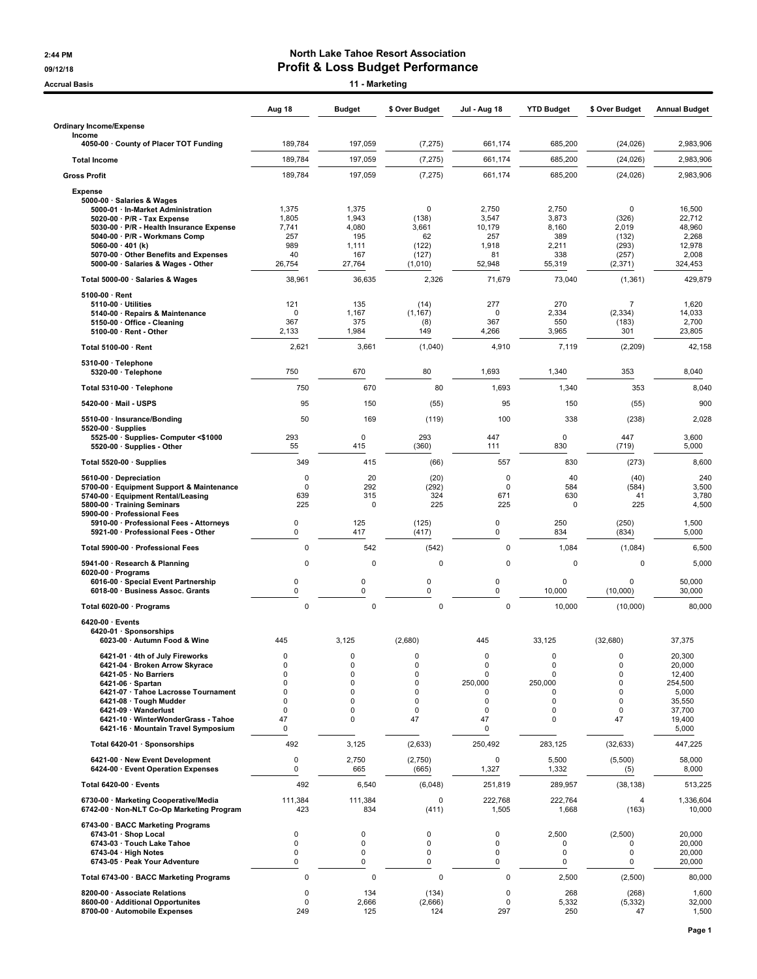## 2:44 PM North Lake Tahoe Resort Association 09/12/18<br> **Profit & Loss Budget Performance**<br>
11 - Marketing<br>
11 - Marketing

| <b>Accrual Basis</b>                                                                                                                                                                                                                                                                         |                                                   | 11 - Marketing                                           |                                                                            |                                                                                          |                                                                                                   |                                                           |                                                                                       |
|----------------------------------------------------------------------------------------------------------------------------------------------------------------------------------------------------------------------------------------------------------------------------------------------|---------------------------------------------------|----------------------------------------------------------|----------------------------------------------------------------------------|------------------------------------------------------------------------------------------|---------------------------------------------------------------------------------------------------|-----------------------------------------------------------|---------------------------------------------------------------------------------------|
|                                                                                                                                                                                                                                                                                              | Aug 18                                            | <b>Budget</b>                                            | \$ Over Budget                                                             | <b>Jul - Aug 18</b>                                                                      | <b>YTD Budget</b>                                                                                 | \$ Over Budget                                            | <b>Annual Budget</b>                                                                  |
| <b>Ordinary Income/Expense</b><br>Income                                                                                                                                                                                                                                                     |                                                   |                                                          |                                                                            |                                                                                          |                                                                                                   |                                                           |                                                                                       |
| 4050-00 County of Placer TOT Funding                                                                                                                                                                                                                                                         | 189,784                                           | 197,059                                                  | (7, 275)                                                                   | 661,174                                                                                  | 685,200                                                                                           | (24, 026)                                                 | 2,983,906                                                                             |
| <b>Total Income</b>                                                                                                                                                                                                                                                                          | 189,784                                           | 197,059                                                  | (7, 275)                                                                   | 661,174                                                                                  | 685,200                                                                                           | (24, 026)                                                 | 2,983,906                                                                             |
| <b>Gross Profit</b>                                                                                                                                                                                                                                                                          | 189,784                                           | 197,059                                                  | (7, 275)                                                                   | 661,174                                                                                  | 685,200                                                                                           | (24, 026)                                                 | 2,983,906                                                                             |
| <b>Expense</b><br>5000-00 · Salaries & Wages<br>5000-01 · In-Market Administration<br>$5020-00 \cdot P/R$ - Tax Expense<br>5030-00 · P/R - Health Insurance Expense<br>5040-00 · P/R - Workmans Comp<br>5060-00 $\cdot$ 401 (k)                                                              | 1,375<br>1,805<br>7,741<br>257<br>989             | 1,375<br>1,943<br>4,080<br>195<br>1,111                  | 0<br>(138)<br>3,661<br>62<br>(122)                                         | 2,750<br>3,547<br>10,179<br>257<br>1,918                                                 | 2,750<br>3,873<br>8,160<br>389<br>2,211                                                           | $\mathbf 0$<br>(326)<br>2,019<br>(132)<br>(293)           | 16,500<br>22,712<br>48,960<br>2,268<br>12,978                                         |
| 5070-00 · Other Benefits and Expenses<br>5000-00 · Salaries & Wages - Other                                                                                                                                                                                                                  | 40<br>26,754                                      | 167<br>27,764                                            | (127)<br>(1,010)                                                           | 81<br>52,948                                                                             | 338<br>55,319                                                                                     | (257)<br>(2, 371)                                         | 2,008<br>324,453                                                                      |
| Total 5000-00 · Salaries & Wages                                                                                                                                                                                                                                                             | 38,961                                            | 36,635                                                   | 2,326                                                                      | 71,679                                                                                   | 73,040                                                                                            | (1, 361)                                                  | 429,879                                                                               |
| 5100-00 · Rent<br>$5110-00 \cdot$ Utilities<br>5140-00 · Repairs & Maintenance<br>5150-00 Office - Cleaning<br>5100-00 · Rent - Other                                                                                                                                                        | 121<br>0<br>367<br>2,133                          | 135<br>1,167<br>375<br>1,984                             | (14)<br>(1, 167)<br>(8)<br>149                                             | 277<br>0<br>367<br>4,266                                                                 | 270<br>2,334<br>550<br>3,965                                                                      | $\overline{7}$<br>(2, 334)<br>(183)<br>301                | 1,620<br>14,033<br>2,700<br>23,805                                                    |
| Total 5100-00 · Rent                                                                                                                                                                                                                                                                         | 2,621                                             | 3,661                                                    | (1,040)                                                                    | 4,910                                                                                    | 7,119                                                                                             | (2, 209)                                                  | 42,158                                                                                |
| 5310-00 · Telephone<br>5320-00 · Telephone                                                                                                                                                                                                                                                   | 750                                               | 670                                                      | 80                                                                         | 1,693                                                                                    | 1,340                                                                                             | 353                                                       | 8,040                                                                                 |
| Total 5310-00 · Telephone                                                                                                                                                                                                                                                                    | 750                                               | 670                                                      | 80                                                                         | 1,693                                                                                    | 1,340                                                                                             | 353                                                       | 8,040                                                                                 |
| 5420-00 · Mail - USPS                                                                                                                                                                                                                                                                        | 95                                                | 150                                                      | (55)                                                                       | 95                                                                                       | 150                                                                                               | (55)                                                      | 900                                                                                   |
| 5510-00 · Insurance/Bonding<br>$5520-00 \cdot$ Supplies                                                                                                                                                                                                                                      | 50                                                | 169                                                      | (119)                                                                      | 100                                                                                      | 338                                                                                               | (238)                                                     | 2,028                                                                                 |
| 5525-00 · Supplies- Computer <\$1000<br>5520-00 · Supplies - Other                                                                                                                                                                                                                           | 293<br>55                                         | $\mathbf 0$<br>415                                       | 293<br>(360)                                                               | 447<br>111                                                                               | 0<br>830                                                                                          | 447<br>(719)                                              | 3,600<br>5,000                                                                        |
| Total 5520-00 · Supplies                                                                                                                                                                                                                                                                     | 349                                               | 415                                                      | (66)                                                                       | 557                                                                                      | 830                                                                                               | (273)                                                     | 8,600                                                                                 |
| 5610-00 Depreciation<br>5700-00 · Equipment Support & Maintenance<br>5740-00 · Equipment Rental/Leasing<br>5800-00 · Training Seminars                                                                                                                                                       | 0<br>0<br>639<br>225                              | 20<br>292<br>315<br>$\Omega$                             | (20)<br>(292)<br>324<br>225                                                | $\mathsf 0$<br>$\mathbf 0$<br>671<br>225                                                 | 40<br>584<br>630<br>$\Omega$                                                                      | (40)<br>(584)<br>41<br>225                                | 240<br>3,500<br>3,780<br>4,500                                                        |
| 5900-00 · Professional Fees<br>5910-00 · Professional Fees - Attorneys<br>5921-00 · Professional Fees - Other                                                                                                                                                                                | 0<br>0                                            | 125<br>417                                               | (125)<br>(417)                                                             | $\Omega$<br>$\pmb{0}$                                                                    | 250<br>834                                                                                        | (250)<br>(834)                                            | 1,500<br>5,000                                                                        |
| Total 5900-00 · Professional Fees                                                                                                                                                                                                                                                            | 0                                                 | 542                                                      | (542)                                                                      | $\mathbf 0$                                                                              | 1,084                                                                                             | (1,084)                                                   | 6,500                                                                                 |
| 5941-00 · Research & Planning<br>$6020-00 \cdot$ Programs<br>6016-00 · Special Event Partnership<br>6018-00 · Business Assoc. Grants                                                                                                                                                         | $\mathbf 0$<br>0<br>$\pmb{0}$                     | $\Omega$<br>$\mathbf 0$<br>$\mathbf 0$                   | 0<br>0<br>0                                                                | $\mathbf 0$<br>0<br>$\pmb{0}$                                                            | $\mathbf 0$<br>0<br>10,000                                                                        | $\Omega$<br>$\mathbf 0$<br>(10,000)                       | 5,000<br>50,000<br>30,000                                                             |
| Total 6020-00 · Programs                                                                                                                                                                                                                                                                     | 0                                                 | 0                                                        | 0                                                                          | $\mathbf 0$                                                                              | 10,000                                                                                            | (10,000)                                                  | 80,000                                                                                |
| 6420-00 · Events<br>6420-01 · Sponsorships<br>6023-00 · Autumn Food & Wine                                                                                                                                                                                                                   | 445                                               | 3,125                                                    | (2,680)                                                                    | 445                                                                                      | 33,125                                                                                            | (32,680)                                                  | 37,375                                                                                |
| 6421-01 · 4th of July Fireworks<br>6421-04 · Broken Arrow Skyrace<br>6421-05 · No Barriers<br>$6421-06 \cdot$ Spartan<br>6421-07 · Tahoe Lacrosse Tournament<br>6421-08 · Tough Mudder<br>6421-09 · Wanderlust<br>6421-10 · WinterWonderGrass - Tahoe<br>6421-16 · Mountain Travel Symposium | 0<br>0<br>0<br>$\Omega$<br>0<br>0<br>0<br>47<br>0 | 0<br>0<br>0<br>0<br>0<br>0<br>0<br>0                     | $\Omega$<br>$\mathbf 0$<br>0<br>$\mathbf 0$<br>0<br>$\mathbf 0$<br>0<br>47 | 0<br>$\mathbf 0$<br>$\mathbf 0$<br>250,000<br>0<br>$\mathbf 0$<br>$\mathbf 0$<br>47<br>0 | $\mathbf 0$<br>$\Omega$<br>$\Omega$<br>250,000<br>$\Omega$<br>$\Omega$<br>$\mathbf 0$<br>$\Omega$ | 0<br>$\mathbf 0$<br>0<br>$\mathbf 0$<br>0<br>0<br>0<br>47 | 20,300<br>20,000<br>12,400<br>254,500<br>5,000<br>35,550<br>37,700<br>19,400<br>5,000 |
| Total 6420-01 · Sponsorships                                                                                                                                                                                                                                                                 | 492                                               | 3,125                                                    | (2,633)                                                                    | 250,492                                                                                  | 283,125                                                                                           | (32, 633)                                                 | 447,225                                                                               |
| 6421-00 · New Event Development<br>6424-00 · Event Operation Expenses                                                                                                                                                                                                                        | 0<br>0                                            | 2,750<br>665                                             | (2,750)<br>(665)                                                           | 0<br>1,327                                                                               | 5,500<br>1,332                                                                                    | (5,500)<br>(5)                                            | 58,000<br>8,000                                                                       |
| Total 6420-00 · Events                                                                                                                                                                                                                                                                       | 492                                               | 6,540                                                    | (6,048)                                                                    | 251,819                                                                                  | 289,957                                                                                           | (38, 138)                                                 | 513,225                                                                               |
| 6730-00 · Marketing Cooperative/Media<br>6742-00 · Non-NLT Co-Op Marketing Program                                                                                                                                                                                                           | 111,384<br>423                                    | 111,384<br>834                                           | $\mathbf 0$<br>(411)                                                       | 222,768<br>1,505                                                                         | 222,764<br>1,668                                                                                  | 4<br>(163)                                                | 1,336,604<br>10,000                                                                   |
| 6743-00 · BACC Marketing Programs<br>6743-01 · Shop Local<br>6743-03 · Touch Lake Tahoe<br>6743-04 · High Notes<br>6743-05 · Peak Your Adventure                                                                                                                                             | 0<br>0<br>0<br>0                                  | $\mathbf 0$<br>$\mathbf 0$<br>$\mathbf 0$<br>$\mathbf 0$ | 0<br>0<br>0<br>0                                                           | $\mathbf 0$<br>0<br>0<br>$\mathbf 0$                                                     | 2,500<br>0<br>0<br>0                                                                              | (2,500)<br>0<br>0<br>0                                    | 20,000<br>20,000<br>20,000<br>20,000                                                  |
| Total 6743-00 · BACC Marketing Programs                                                                                                                                                                                                                                                      | 0                                                 | 0                                                        | 0                                                                          | $\mathbf 0$                                                                              | 2,500                                                                                             | (2,500)                                                   | 80,000                                                                                |
| 8200-00 · Associate Relations<br>8600-00 · Additional Opportunites<br>8700-00 · Automobile Expenses                                                                                                                                                                                          | 0<br>0<br>249                                     | 134<br>2,666<br>125                                      | (134)<br>(2,666)<br>124                                                    | $\mathbf 0$<br>0<br>297                                                                  | 268<br>5,332<br>250                                                                               | (268)<br>(5, 332)<br>47                                   | 1,600<br>32,000<br>1,500                                                              |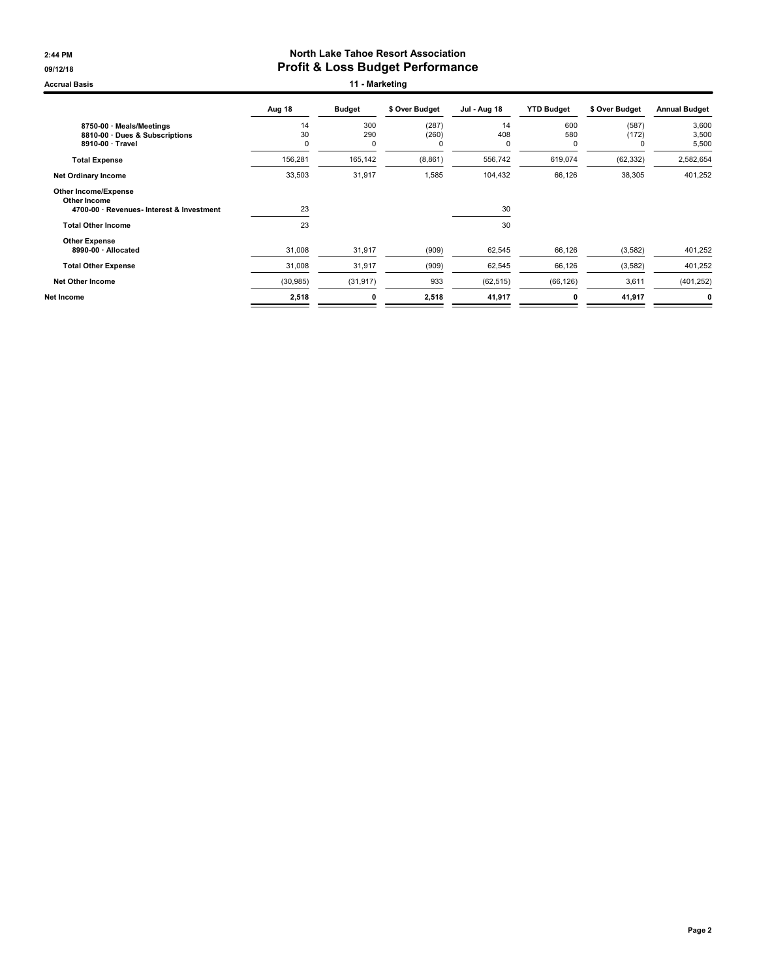#### 2:44 PM North Lake Tahoe Resort Association 09/12/18 09/12/18

Accrual Basis **11 - Marketing** 

|                                                                                                                       | Aug 18        | <b>Budget</b>   | \$ Over Budget | <b>Jul - Aug 18</b> | <b>YTD Budget</b> | \$ Over Budget      | <b>Annual Budget</b>    |
|-----------------------------------------------------------------------------------------------------------------------|---------------|-----------------|----------------|---------------------|-------------------|---------------------|-------------------------|
| 8750-00 · Meals/Meetings<br>8810-00 Dues & Subscriptions<br>8910-00 · Travel                                          | 14<br>30<br>0 | 300<br>290<br>0 | (287)<br>(260) | 14<br>408<br>O      | 600<br>580<br>0   | (587)<br>(172)<br>0 | 3,600<br>3,500<br>5,500 |
| <b>Total Expense</b>                                                                                                  | 156,281       | 165,142         | (8, 861)       | 556,742             | 619,074           | (62, 332)           | 2,582,654               |
| <b>Net Ordinary Income</b>                                                                                            | 33,503        | 31,917          | 1,585          | 104,432             | 66,126            | 38,305              | 401,252                 |
| <b>Other Income/Expense</b><br>Other Income<br>4700-00 · Revenues- Interest & Investment<br><b>Total Other Income</b> | 23<br>23      |                 |                | 30<br>30            |                   |                     |                         |
| <b>Other Expense</b><br>8990-00 · Allocated                                                                           | 31,008        | 31,917          | (909)          | 62,545              | 66,126            | (3, 582)            | 401,252                 |
| <b>Total Other Expense</b>                                                                                            | 31,008        | 31,917          | (909)          | 62,545              | 66,126            | (3, 582)            | 401,252                 |
| <b>Net Other Income</b>                                                                                               | (30, 985)     | (31, 917)       | 933            | (62, 515)           | (66, 126)         | 3,611               | (401, 252)              |
| Net Income                                                                                                            | 2,518         | 0               | 2,518          | 41,917              | 0                 | 41,917              | 0                       |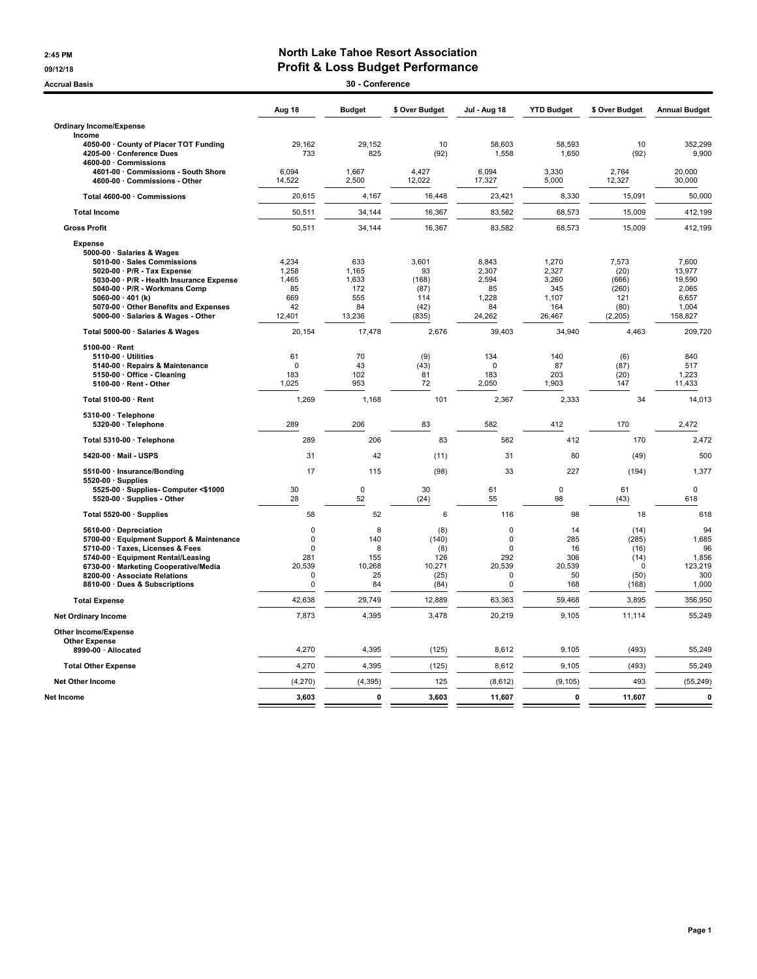#### 2:45 PM North Lake Tahoe Resort Association 09/12/18 09/12/18

| <b>Accrual Basis</b>                                                    |                 | 30 - Conference   |                |                    |                   |                     |                      |
|-------------------------------------------------------------------------|-----------------|-------------------|----------------|--------------------|-------------------|---------------------|----------------------|
|                                                                         | Aug 18          | <b>Budget</b>     | \$ Over Budget | Jul - Aug 18       | <b>YTD Budget</b> | \$ Over Budget      | <b>Annual Budget</b> |
| <b>Ordinary Income/Expense</b>                                          |                 |                   |                |                    |                   |                     |                      |
| Income                                                                  |                 |                   |                |                    |                   |                     |                      |
| 4050-00 · County of Placer TOT Funding                                  | 29,162          | 29,152            | 10             | 58,603             | 58,593            | 10                  | 352,299              |
| 4205-00 · Conference Dues<br>4600-00 Commissions                        | 733             | 825               | (92)           | 1,558              | 1,650             | (92)                | 9,900                |
| 4601-00 Commissions - South Shore                                       | 6.094           | 1.667             | 4.427          | 6.094              | 3.330             | 2.764               | 20.000               |
| 4600-00 Commissions - Other                                             | 14,522          | 2,500             | 12,022         | 17,327             | 5,000             | 12,327              | 30,000               |
| Total 4600-00 · Commissions                                             | 20,615          | 4,167             | 16,448         | 23,421             | 8,330             | 15,091              | 50,000               |
| <b>Total Income</b>                                                     | 50,511          | 34,144            | 16,367         | 83,582             | 68,573            | 15,009              | 412,199              |
| <b>Gross Profit</b>                                                     | 50,511          | 34,144            | 16,367         | 83,582             | 68,573            | 15,009              | 412,199              |
| <b>Expense</b>                                                          |                 |                   |                |                    |                   |                     |                      |
| 5000-00 · Salaries & Wages                                              |                 |                   |                |                    |                   |                     |                      |
| 5010-00 · Sales Commissions                                             | 4,234           | 633               | 3,601          | 8,843              | 1,270             | 7,573               | 7,600                |
| 5020-00 · P/R - Tax Expense<br>5030-00 · P/R - Health Insurance Expense | 1,258<br>1,465  | 1,165<br>1,633    | 93<br>(168)    | 2,307<br>2,594     | 2,327<br>3,260    | (20)<br>(666)       | 13,977<br>19,590     |
| 5040-00 · P/R - Workmans Comp                                           | 85              | 172               | (87)           | 85                 | 345               | (260)               | 2,065                |
| 5060-00 $\cdot$ 401 (k)                                                 | 669             | 555               | 114            | 1,228              | 1,107             | 121                 | 6,657                |
| 5070-00 Other Benefits and Expenses                                     | 42              | 84                | (42)           | 84                 | 164               | (80)                | 1,004                |
| 5000-00 · Salaries & Wages - Other                                      | 12,401          | 13,236            | (835)          | 24,262             | 26,467            | (2, 205)            | 158,827              |
| Total 5000-00 · Salaries & Wages                                        | 20,154          | 17,478            | 2,676          | 39,403             | 34,940            | 4,463               | 209,720              |
| 5100-00 · Rent                                                          |                 |                   |                |                    |                   |                     |                      |
| 5110-00 · Utilities                                                     | 61              | 70                | (9)            | 134                | 140               | (6)                 | 840                  |
| 5140-00 · Repairs & Maintenance<br>5150-00 · Office - Cleaning          | $\Omega$<br>183 | 43<br>102         | (43)<br>81     | $\mathbf 0$<br>183 | 87<br>203         | (87)<br>(20)        | 517                  |
| 5100-00 · Rent - Other                                                  | 1,025           | 953               | 72             | 2,050              | 1,903             | 147                 | 1,223<br>11,433      |
|                                                                         |                 |                   |                |                    |                   |                     |                      |
| Total 5100-00 · Rent                                                    | 1,269           | 1,168             | 101            | 2,367              | 2,333             | 34                  | 14,013               |
| $5310-00 \cdot$ Telephone<br>5320-00 · Telephone                        | 289             | 206               | 83             | 582                | 412               | 170                 | 2.472                |
| Total 5310-00 · Telephone                                               | 289             | 206               | 83             | 582                | 412               | 170                 | 2,472                |
| 5420-00 · Mail - USPS                                                   | 31              | 42                | (11)           | 31                 | 80                | (49)                | 500                  |
| 5510-00 · Insurance/Bonding                                             | 17              | 115               | (98)           | 33                 | 227               | (194)               | 1,377                |
| $5520-00 \cdot$ Supplies                                                |                 |                   |                |                    |                   |                     |                      |
| 5525-00 · Supplies- Computer <\$1000<br>5520-00 · Supplies - Other      | 30<br>28        | $\mathbf 0$<br>52 | 30<br>(24)     | 61<br>55           | $\mathbf 0$<br>98 | 61<br>(43)          | $\mathbf 0$<br>618   |
| Total 5520-00 · Supplies                                                | 58              | 52                | 6              | 116                | 98                | 18                  | 618                  |
| 5610-00 Depreciation                                                    | 0               | 8                 | (8)            | $\mathbf 0$        | 14                | (14)                | 94                   |
| 5700-00 · Equipment Support & Maintenance                               | $\mathbf 0$     | 140               | (140)          | 0                  | 285               | (285)               | 1,685                |
| 5710-00 · Taxes, Licenses & Fees                                        | $\mathbf 0$     | 8                 | (8)            | $\Omega$           | 16                | (16)                | 96                   |
| 5740-00 · Equipment Rental/Leasing                                      | 281<br>20,539   | 155<br>10,268     | 126<br>10,271  | 292<br>20,539      | 306<br>20,539     | (14)<br>$\mathbf 0$ | 1,856<br>123,219     |
| 6730-00 · Marketing Cooperative/Media<br>8200-00 · Associate Relations  | $\pmb{0}$       | 25                | (25)           | 0                  | 50                | (50)                | 300                  |
| 8810-00 · Dues & Subscriptions                                          | 0               | 84                | (84)           | 0                  | 168               | (168)               | 1,000                |
| <b>Total Expense</b>                                                    | 42,638          | 29,749            | 12,889         | 63,363             | 59,468            | 3,895               | 356,950              |
| <b>Net Ordinary Income</b>                                              | 7,873           | 4,395             | 3,478          | 20,219             | 9,105             | 11,114              | 55,249               |
| Other Income/Expense                                                    |                 |                   |                |                    |                   |                     |                      |
| <b>Other Expense</b>                                                    |                 |                   |                |                    |                   |                     |                      |
| 8990-00 · Allocated                                                     | 4,270           | 4,395             | (125)          | 8,612              | 9,105             | (493)               | 55,249               |
| <b>Total Other Expense</b>                                              | 4,270           | 4,395             | (125)          | 8,612              | 9,105             | (493)               | 55,249               |
| <b>Net Other Income</b>                                                 | (4, 270)        | (4, 395)          | 125            | (8,612)            | (9, 105)          | 493                 | (55, 249)            |
| Net Income                                                              | 3,603           | $\mathbf 0$       | 3,603          | 11,607             | 0                 | 11,607              | 0                    |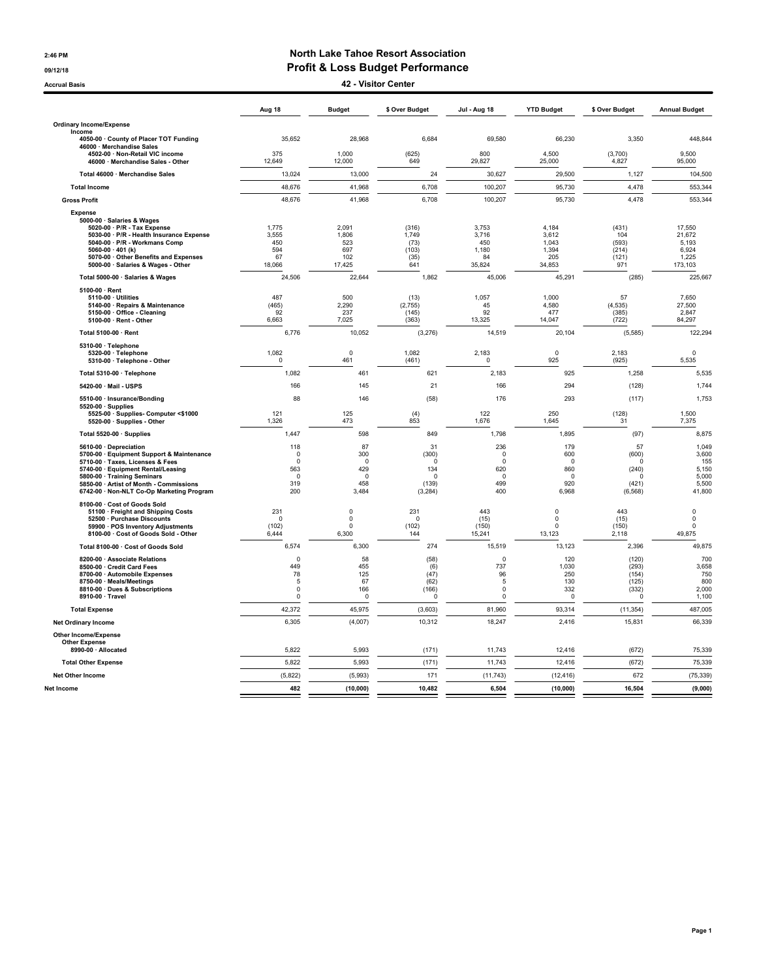#### 2:46 PM North Lake Tahoe Resort Association 09/12/18 09/12/18

Accrual Basis 42 - Visitor Center

|                                                                                                                                                                                                                                                                      | Aug 18                                                       | <b>Budget</b>                                            | \$ Over Budget                                                     | <b>Jul - Aug 18</b>                                          | <b>YTD Budget</b>                                  | \$ Over Budget                                                    | <b>Annual Budget</b>                                       |
|----------------------------------------------------------------------------------------------------------------------------------------------------------------------------------------------------------------------------------------------------------------------|--------------------------------------------------------------|----------------------------------------------------------|--------------------------------------------------------------------|--------------------------------------------------------------|----------------------------------------------------|-------------------------------------------------------------------|------------------------------------------------------------|
| <b>Ordinary Income/Expense</b>                                                                                                                                                                                                                                       |                                                              |                                                          |                                                                    |                                                              |                                                    |                                                                   |                                                            |
| Income<br>4050-00 · County of Placer TOT Funding<br>46000 · Merchandise Sales                                                                                                                                                                                        | 35,652                                                       | 28,968                                                   | 6,684                                                              | 69,580                                                       | 66,230                                             | 3,350                                                             | 448,844                                                    |
| 4502-00 · Non-Retail VIC income<br>46000 · Merchandise Sales - Other                                                                                                                                                                                                 | 375<br>12,649                                                | 1,000<br>12,000                                          | (625)<br>649                                                       | 800<br>29,827                                                | 4,500<br>25,000                                    | (3,700)<br>4,827                                                  | 9.500<br>95,000                                            |
| Total 46000 · Merchandise Sales                                                                                                                                                                                                                                      | 13,024                                                       | 13,000                                                   | 24                                                                 | 30,627                                                       | 29,500                                             | 1,127                                                             | 104,500                                                    |
| <b>Total Income</b>                                                                                                                                                                                                                                                  | 48,676                                                       | 41,968                                                   | 6,708                                                              | 100,207                                                      | 95,730                                             | 4,478                                                             | 553,344                                                    |
| <b>Gross Profit</b>                                                                                                                                                                                                                                                  | 48,676                                                       | 41,968                                                   | 6.708                                                              | 100,207                                                      | 95,730                                             | 4,478                                                             | 553,344                                                    |
| <b>Expense</b><br>5000-00 · Salaries & Wages<br>5020-00 · P/R - Tax Expense<br>5030-00 · P/R - Health Insurance Expense<br>5040-00 · P/R - Workmans Comp<br>5060-00 $\cdot$ 401 (k)<br>5070-00 Other Benefits and Expenses<br>5000-00 · Salaries & Wages - Other     | 1,775<br>3,555<br>450<br>594<br>67<br>18,066                 | 2,091<br>1,806<br>523<br>697<br>102<br>17,425            | (316)<br>1,749<br>(73)<br>(103)<br>(35)<br>641                     | 3,753<br>3,716<br>450<br>1.180<br>84<br>35,824               | 4,184<br>3,612<br>1,043<br>1,394<br>205<br>34,853  | (431)<br>104<br>(593)<br>(214)<br>(121)<br>971                    | 17,550<br>21,672<br>5,193<br>6,924<br>1,225<br>173,103     |
| Total 5000-00 · Salaries & Wages                                                                                                                                                                                                                                     | 24,506                                                       | 22,644                                                   | 1,862                                                              | 45,006                                                       | 45,291                                             | (285)                                                             | 225,667                                                    |
| 5100-00 · Rent<br>5110-00 · Utilities<br>5140-00 · Repairs & Maintenance<br>5150-00 · Office - Cleaning<br>5100-00 · Rent - Other                                                                                                                                    | 487<br>(465)<br>92<br>6,663                                  | 500<br>2,290<br>237<br>7,025                             | (13)<br>(2,755)<br>(145)<br>(363)                                  | 1,057<br>45<br>92<br>13,325                                  | 1,000<br>4,580<br>477<br>14,047                    | 57<br>(4, 535)<br>(385)<br>(722)                                  | 7,650<br>27,500<br>2,847<br>84,297                         |
| Total 5100-00 · Rent                                                                                                                                                                                                                                                 | 6,776                                                        | 10,052                                                   | (3,276)                                                            | 14,519                                                       | 20,104                                             | (5, 585)                                                          | 122,294                                                    |
| 5310-00 · Telephone<br>5320-00 · Telephone<br>5310-00 · Telephone - Other                                                                                                                                                                                            | 1,082<br>$\mathsf 0$                                         | $\mathbf 0$<br>461                                       | 1,082<br>(461)                                                     | 2,183<br>$\Omega$                                            | $\mathbf 0$<br>925                                 | 2,183<br>(925)                                                    | $\mathbf 0$<br>5,535                                       |
| Total 5310-00 · Telephone                                                                                                                                                                                                                                            | 1,082                                                        | 461                                                      | 621                                                                | 2,183                                                        | 925                                                | 1,258                                                             | 5,535                                                      |
| 5420-00 · Mail - USPS                                                                                                                                                                                                                                                | 166                                                          | 145                                                      | 21                                                                 | 166                                                          | 294                                                | (128)                                                             | 1,744                                                      |
| 5510-00 · Insurance/Bonding<br>5520-00 Supplies                                                                                                                                                                                                                      | 88                                                           | 146                                                      | (58)                                                               | 176                                                          | 293                                                | (117)                                                             | 1,753                                                      |
| 5525-00 · Supplies- Computer <\$1000<br>5520-00 · Supplies - Other                                                                                                                                                                                                   | 121<br>1,326                                                 | 125<br>473                                               | (4)<br>853                                                         | 122<br>1,676                                                 | 250<br>1,645                                       | (128)<br>31                                                       | 1,500<br>7,375                                             |
| Total 5520-00 · Supplies                                                                                                                                                                                                                                             | 1,447                                                        | 598                                                      | 849                                                                | 1,798                                                        | 1,895                                              | (97)                                                              | 8,875                                                      |
| 5610-00 · Depreciation<br>5700-00 · Equipment Support & Maintenance<br>5710-00 · Taxes, Licenses & Fees<br>5740-00 · Equipment Rental/Leasing<br>5800-00 · Training Seminars<br>5850-00 · Artist of Month - Commissions<br>6742-00 · Non-NLT Co-Op Marketing Program | 118<br>$\Omega$<br>$\Omega$<br>563<br>$\Omega$<br>319<br>200 | 87<br>300<br>$\Omega$<br>429<br>$\Omega$<br>458<br>3,484 | 31<br>(300)<br>$\mathbf 0$<br>134<br>$\Omega$<br>(139)<br>(3, 284) | 236<br>$\Omega$<br>$\Omega$<br>620<br>$\Omega$<br>499<br>400 | 179<br>600<br>0<br>860<br>$\Omega$<br>920<br>6,968 | 57<br>(600)<br>$\Omega$<br>(240)<br>$\Omega$<br>(421)<br>(6, 568) | 1,049<br>3,600<br>155<br>5,150<br>5,000<br>5,500<br>41,800 |
| 8100-00 · Cost of Goods Sold<br>51100 · Freight and Shipping Costs<br>52500 · Purchase Discounts<br>59900 · POS Inventory Adjustments<br>8100-00 · Cost of Goods Sold - Other                                                                                        | 231<br>$\Omega$<br>(102)<br>6,444                            | $\mathbf 0$<br>$\mathbf 0$<br>$\mathbf 0$<br>6,300       | 231<br>$\mathbf 0$<br>(102)<br>144                                 | 443<br>(15)<br>(150)<br>15,241                               | 0<br>$\Omega$<br>$\Omega$<br>13,123                | 443<br>(15)<br>(150)<br>2,118                                     | $\mathbf 0$<br>$\mathbf 0$<br>$\mathbf 0$<br>49,875        |
| Total 8100-00 · Cost of Goods Sold                                                                                                                                                                                                                                   | 6,574                                                        | 6,300                                                    | 274                                                                | 15,519                                                       | 13,123                                             | 2,396                                                             | 49,875                                                     |
| 8200-00 · Associate Relations<br>8500-00 · Credit Card Fees<br>8700-00 · Automobile Expenses<br>8750-00 · Meals/Meetings<br>8810-00 · Dues & Subscriptions<br>8910-00 · Travel                                                                                       | $\Omega$<br>449<br>78<br>5<br>$\Omega$<br>$\Omega$           | 58<br>455<br>125<br>67<br>166<br>$\Omega$                | (58)<br>(6)<br>(47)<br>(62)<br>(166)<br>$\Omega$                   | $\mathbf 0$<br>737<br>96<br>5<br>0<br>$\Omega$               | 120<br>1,030<br>250<br>130<br>332<br>0             | (120)<br>(293)<br>(154)<br>(125)<br>(332)<br>$\Omega$             | 700<br>3,658<br>750<br>800<br>2,000<br>1,100               |
| <b>Total Expense</b>                                                                                                                                                                                                                                                 | 42,372                                                       | 45,975                                                   | (3,603)                                                            | 81,960                                                       | 93,314                                             | (11, 354)                                                         | 487,005                                                    |
| <b>Net Ordinary Income</b>                                                                                                                                                                                                                                           | 6,305                                                        | (4,007)                                                  | 10,312                                                             | 18,247                                                       | 2,416                                              | 15,831                                                            | 66,339                                                     |
| <b>Other Income/Expense</b><br><b>Other Expense</b><br>8990-00 · Allocated                                                                                                                                                                                           | 5,822                                                        | 5,993                                                    | (171)                                                              | 11,743                                                       | 12,416                                             | (672)                                                             | 75,339                                                     |
| <b>Total Other Expense</b>                                                                                                                                                                                                                                           | 5,822                                                        | 5,993                                                    | (171)                                                              | 11,743                                                       | 12,416                                             | (672)                                                             | 75,339                                                     |
| <b>Net Other Income</b>                                                                                                                                                                                                                                              | (5, 822)                                                     | (5,993)                                                  | 171                                                                | (11, 743)                                                    | (12, 416)                                          | 672                                                               | (75, 339)                                                  |
| Net Income                                                                                                                                                                                                                                                           | 482                                                          | (10,000)                                                 | 10.482                                                             | 6.504                                                        | (10,000)                                           | 16.504                                                            | (9,000)                                                    |
|                                                                                                                                                                                                                                                                      |                                                              |                                                          |                                                                    |                                                              |                                                    |                                                                   |                                                            |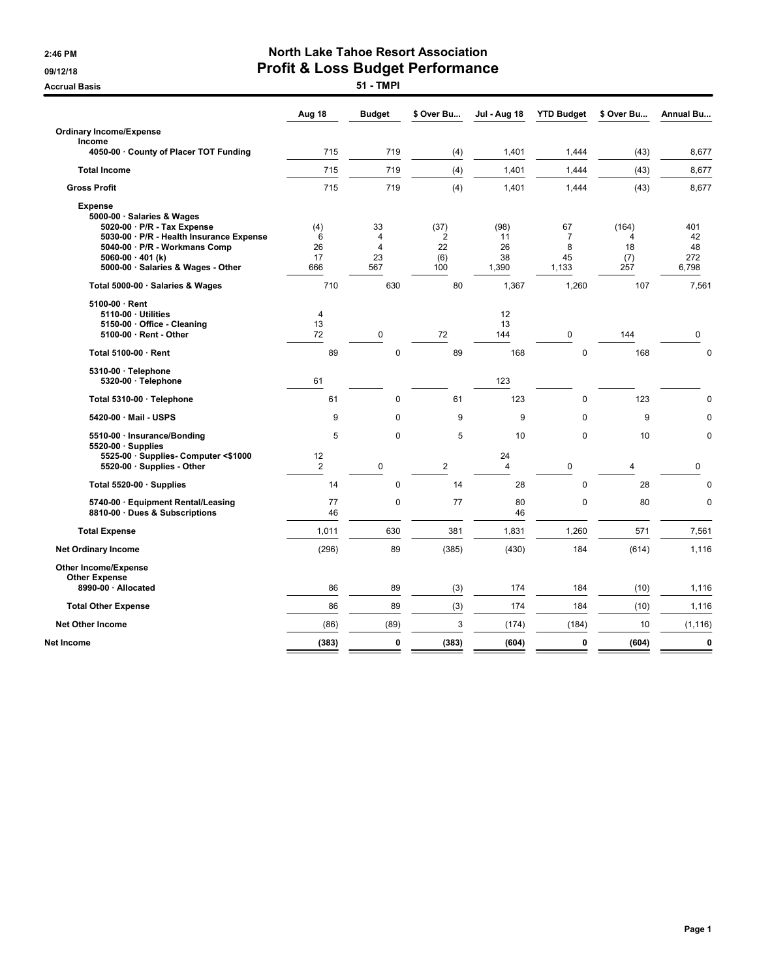**Accrual Basis** 

# 2:46 PM North Lake Tahoe Resort Association 09/12/18<br>Accrual Basis **Profit & Loss Budget Performance**

|                                                                                                                                                                                                                           | Aug 18                      | <b>Budget</b>                                       | \$ Over Bu                                 | <b>Jul - Aug 18</b>             | <b>YTD Budget</b>                        | \$ Over Bu                     | <b>Annual Bu</b>                |
|---------------------------------------------------------------------------------------------------------------------------------------------------------------------------------------------------------------------------|-----------------------------|-----------------------------------------------------|--------------------------------------------|---------------------------------|------------------------------------------|--------------------------------|---------------------------------|
| <b>Ordinary Income/Expense</b><br>Income                                                                                                                                                                                  |                             |                                                     |                                            |                                 |                                          |                                |                                 |
| 4050-00 · County of Placer TOT Funding                                                                                                                                                                                    | 715                         | 719                                                 | (4)                                        | 1,401                           | 1,444                                    | (43)                           | 8,677                           |
| <b>Total Income</b>                                                                                                                                                                                                       | 715                         | 719                                                 | (4)                                        | 1,401                           | 1,444                                    | (43)                           | 8,677                           |
| <b>Gross Profit</b>                                                                                                                                                                                                       | 715                         | 719                                                 | (4)                                        | 1,401                           | 1,444                                    | (43)                           | 8,677                           |
| <b>Expense</b><br>5000-00 · Salaries & Wages<br>5020-00 · P/R - Tax Expense<br>5030-00 · P/R - Health Insurance Expense<br>5040-00 · P/R - Workmans Comp<br>5060-00 $\cdot$ 401 (k)<br>5000-00 · Salaries & Wages - Other | (4)<br>6<br>26<br>17<br>666 | 33<br>$\overline{4}$<br>$\overline{4}$<br>23<br>567 | (37)<br>$\overline{2}$<br>22<br>(6)<br>100 | (98)<br>11<br>26<br>38<br>1,390 | 67<br>$\overline{7}$<br>8<br>45<br>1,133 | (164)<br>4<br>18<br>(7)<br>257 | 401<br>42<br>48<br>272<br>6,798 |
| Total 5000-00 · Salaries & Wages                                                                                                                                                                                          | 710                         | 630                                                 | 80                                         | 1,367                           | 1,260                                    | 107                            | 7,561                           |
| 5100-00 · Rent<br>5110-00 · Utilities<br>5150-00 · Office - Cleaning<br>5100-00 · Rent - Other                                                                                                                            | 4<br>13<br>72               | $\pmb{0}$                                           | 72                                         | 12<br>13<br>144                 | 0                                        | 144                            | 0                               |
| Total 5100-00 · Rent                                                                                                                                                                                                      | 89                          | $\mathbf 0$                                         | 89                                         | 168                             | $\pmb{0}$                                | 168                            | $\mathbf 0$                     |
| 5310-00 · Telephone<br>5320-00 · Telephone                                                                                                                                                                                | 61                          |                                                     |                                            | 123                             |                                          |                                |                                 |
| Total 5310-00 · Telephone                                                                                                                                                                                                 | 61                          | 0                                                   | 61                                         | 123                             | $\mathbf 0$                              | 123                            | 0                               |
| 5420-00 · Mail - USPS                                                                                                                                                                                                     | 9                           | $\mathbf 0$                                         | 9                                          | 9                               | $\mathbf 0$                              | 9                              | $\mathbf 0$                     |
| 5510-00 · Insurance/Bonding                                                                                                                                                                                               | 5                           | $\mathbf 0$                                         | 5                                          | 10                              | $\mathbf 0$                              | 10                             | $\mathbf 0$                     |
| 5520-00 · Supplies<br>5525-00 · Supplies- Computer <\$1000<br>5520-00 · Supplies - Other                                                                                                                                  | 12<br>$\overline{2}$        | $\mathbf 0$                                         | $\overline{2}$                             | 24<br>$\overline{4}$            | $\mathbf 0$                              | 4                              | 0                               |
| Total 5520-00 · Supplies                                                                                                                                                                                                  | 14                          | $\mathbf 0$                                         | 14                                         | 28                              | $\mathbf 0$                              | 28                             | $\mathbf 0$                     |
| 5740-00 · Equipment Rental/Leasing<br>8810-00 · Dues & Subscriptions                                                                                                                                                      | 77<br>46                    | 0                                                   | 77                                         | 80<br>46                        | 0                                        | 80                             | 0                               |
| <b>Total Expense</b>                                                                                                                                                                                                      | 1,011                       | 630                                                 | 381                                        | 1,831                           | 1,260                                    | 571                            | 7,561                           |
| <b>Net Ordinary Income</b>                                                                                                                                                                                                | (296)                       | 89                                                  | (385)                                      | (430)                           | 184                                      | (614)                          | 1,116                           |
| <b>Other Income/Expense</b><br><b>Other Expense</b><br>8990-00 · Allocated                                                                                                                                                | 86                          | 89                                                  | (3)                                        | 174                             | 184                                      | (10)                           | 1,116                           |
| <b>Total Other Expense</b>                                                                                                                                                                                                | 86                          | 89                                                  | (3)                                        | 174                             | 184                                      | (10)                           | 1,116                           |
|                                                                                                                                                                                                                           |                             |                                                     |                                            |                                 |                                          |                                |                                 |
| <b>Net Other Income</b>                                                                                                                                                                                                   | (86)                        | (89)                                                | 3                                          | (174)                           | (184)                                    | 10                             | (1, 116)                        |
| Net Income                                                                                                                                                                                                                | (383)                       | 0                                                   | (383)                                      | (604)                           | 0                                        | (604)                          | $\bf{0}$                        |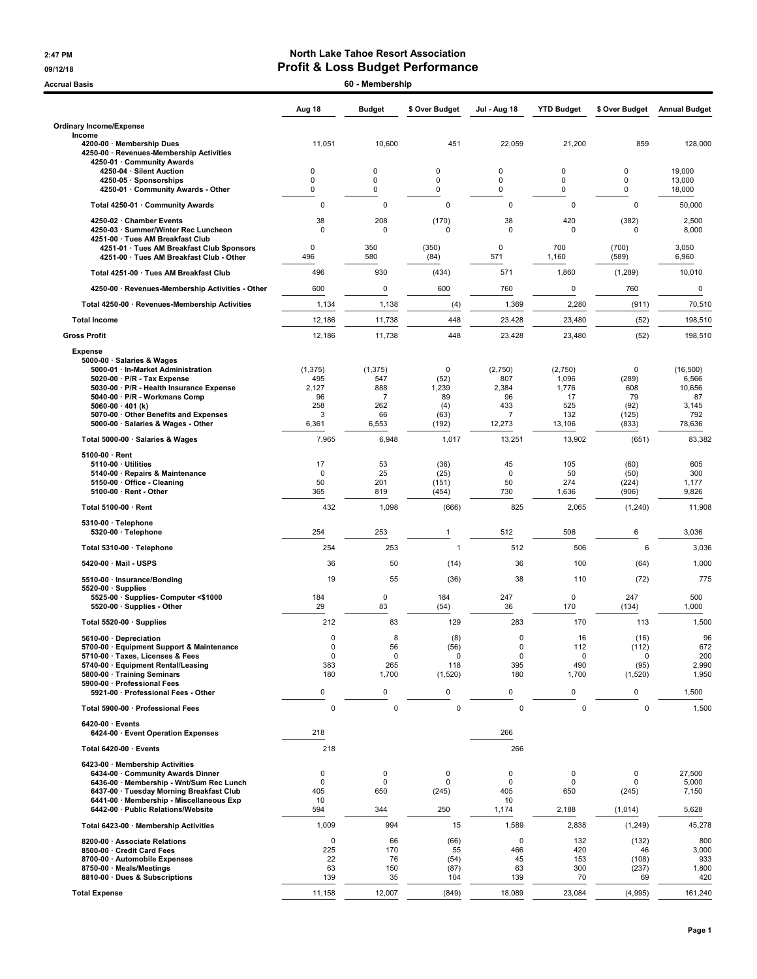#### 2:47 PM North Lake Tahoe Resort Association 09/12/18 09/12/18

| <b>Accrual Basis</b>                                                                                                                        |                          | 60 - Membership        |                              |                            |                           |                             |                              |
|---------------------------------------------------------------------------------------------------------------------------------------------|--------------------------|------------------------|------------------------------|----------------------------|---------------------------|-----------------------------|------------------------------|
|                                                                                                                                             | Aug 18                   | <b>Budget</b>          | \$ Over Budget               | Jul - Aug 18               | <b>YTD Budget</b>         | \$ Over Budget              | <b>Annual Budget</b>         |
| <b>Ordinary Income/Expense</b>                                                                                                              |                          |                        |                              |                            |                           |                             |                              |
| Income<br>4200-00 · Membership Dues<br>4250-00 · Revenues-Membership Activities<br>4250-01 · Community Awards                               | 11,051                   | 10,600                 | 451                          | 22,059                     | 21,200                    | 859                         | 128,000                      |
| 4250-04 · Silent Auction                                                                                                                    | 0                        | 0                      | 0                            | 0                          | $\Omega$                  | 0                           | 19,000                       |
| 4250-05 · Sponsorships<br>4250-01 · Community Awards - Other                                                                                | $\mathbf 0$<br>0         | 0<br>0                 | 0<br>$\mathbf 0$             | 0<br>0                     | $\Omega$<br>0             | $\mathbf 0$<br>$\mathbf 0$  | 13,000<br>18,000             |
| Total 4250-01 · Community Awards                                                                                                            | 0                        | $\mathbf 0$            | $\mathsf 0$                  | $\mathbf 0$                | 0                         | 0                           | 50,000                       |
| 4250-02 · Chamber Events                                                                                                                    | 38                       | 208                    | (170)                        | 38                         | 420                       | (382)                       | 2,500                        |
| 4250-03 · Summer/Winter Rec Luncheon<br>4251-00 · Tues AM Breakfast Club<br>4251-01 · Tues AM Breakfast Club Sponsors                       | 0<br>$\mathbf 0$         | 0<br>350               | 0<br>(350)                   | $\mathbf 0$<br>$\mathbf 0$ | 0<br>700                  | 0<br>(700)                  | 8,000<br>3,050               |
| 4251-00 · Tues AM Breakfast Club - Other                                                                                                    | 496                      | 580                    | (84)                         | 571                        | 1,160                     | (589)                       | 6,960                        |
| Total 4251-00 · Tues AM Breakfast Club                                                                                                      | 496                      | 930                    | (434)                        | 571                        | 1,860                     | (1, 289)                    | 10,010                       |
| 4250-00 · Revenues-Membership Activities - Other                                                                                            | 600                      | $\mathbf 0$            | 600                          | 760                        | 0                         | 760                         | 0                            |
| Total 4250-00 · Revenues-Membership Activities                                                                                              | 1,134                    | 1,138                  | (4)                          | 1,369                      | 2,280                     | (911)                       | 70,510                       |
| <b>Total Income</b>                                                                                                                         | 12,186                   | 11,738                 | 448                          | 23,428                     | 23,480                    | (52)                        | 198,510                      |
| <b>Gross Profit</b>                                                                                                                         | 12,186                   | 11,738                 | 448                          | 23,428                     | 23,480                    | (52)                        | 198,510                      |
| <b>Expense</b>                                                                                                                              |                          |                        |                              |                            |                           |                             |                              |
| 5000-00 · Salaries & Wages<br>5000-01 · In-Market Administration<br>5020-00 · P/R - Tax Expense<br>5030-00 · P/R - Health Insurance Expense | (1, 375)<br>495<br>2,127 | (1, 375)<br>547<br>888 | $\mathbf 0$<br>(52)<br>1,239 | (2,750)<br>807<br>2,384    | (2,750)<br>1,096<br>1,776 | $\mathbf 0$<br>(289)<br>608 | (16, 500)<br>6,566<br>10,656 |
| 5040-00 · P/R - Workmans Comp                                                                                                               | 96                       | $\overline{7}$         | 89                           | 96                         | 17                        | 79                          | 87                           |
| 5060-00 $\cdot$ 401 (k)<br>5070-00 · Other Benefits and Expenses                                                                            | 258<br>3                 | 262<br>66              | (4)<br>(63)                  | 433<br>$\overline{7}$      | 525<br>132                | (92)<br>(125)               | 3,145<br>792                 |
| 5000-00 · Salaries & Wages - Other                                                                                                          | 6,361                    | 6,553                  | (192)                        | 12,273                     | 13,106                    | (833)                       | 78,636                       |
| Total 5000-00 · Salaries & Wages                                                                                                            | 7,965                    | 6,948                  | 1,017                        | 13,251                     | 13,902                    | (651)                       | 83,382                       |
| $5100-00 \cdot$ Rent<br>5110-00 · Utilities                                                                                                 | 17                       | 53                     | (36)                         | 45                         | 105                       | (60)                        | 605                          |
| 5140-00 · Repairs & Maintenance                                                                                                             | $\mathbf 0$              | 25                     | (25)                         | $\mathbf 0$                | 50                        | (50)                        | 300                          |
| 5150-00 · Office - Cleaning<br>5100-00 · Rent - Other                                                                                       | 50<br>365                | 201<br>819             | (151)<br>(454)               | 50<br>730                  | 274<br>1,636              | (224)<br>(906)              | 1,177<br>9,826               |
| Total 5100-00 · Rent                                                                                                                        | 432                      | 1,098                  | (666)                        | 825                        | 2,065                     | (1, 240)                    | 11,908                       |
| 5310-00 · Telephone<br>5320-00 · Telephone                                                                                                  | 254                      | 253                    | 1                            | 512                        | 506                       | 6                           | 3,036                        |
| Total 5310-00 · Telephone                                                                                                                   | 254                      | 253                    | -1                           | 512                        | 506                       | 6                           | 3,036                        |
| 5420-00 Mail - USPS                                                                                                                         | 36                       | 50                     | (14)                         | 36                         | 100                       | (64)                        | 1,000                        |
| 5510-00 · Insurance/Bonding                                                                                                                 | 19                       | 55                     | (36)                         | 38                         | 110                       | (72)                        | 775                          |
| $5520-00 \cdot$ Supplies<br>5525-00 · Supplies- Computer <\$1000                                                                            | 184                      | $\mathbf 0$            | 184                          | 247                        | 0                         | 247                         | 500                          |
| 5520-00 · Supplies - Other                                                                                                                  | 29                       | 83                     | (54)                         | 36                         | 170                       | (134)                       | 1,000                        |
| Total 5520-00 · Supplies                                                                                                                    | 212                      | 83                     | 129                          | 283                        | 170                       | 113                         | 1,500                        |
| 5610-00 · Depreciation<br>5700-00 · Equipment Support & Maintenance                                                                         | 0<br>0                   | 8<br>56                | (8)<br>(56)                  | 0<br>0                     | 16<br>112                 | (16)<br>(112)               | 96<br>672                    |
| 5710-00 · Taxes. Licenses & Fees<br>5740-00 · Equipment Rental/Leasing                                                                      | $\mathbf 0$<br>383       | $\mathbf 0$<br>265     | 0<br>118                     | 0<br>395                   | 0<br>490                  | 0<br>(95)                   | 200<br>2,990                 |
| 5800-00 · Training Seminars                                                                                                                 | 180                      | 1,700                  | (1,520)                      | 180                        | 1,700                     | (1,520)                     | 1,950                        |
| 5900-00 · Professional Fees<br>5921-00 · Professional Fees - Other                                                                          | 0                        | 0                      | $\mathbf 0$                  | 0                          | 0                         | 0                           | 1,500                        |
| Total 5900-00 · Professional Fees                                                                                                           | $\mathbf 0$              | $\mathbf 0$            | $\mathbf 0$                  | $\mathbf 0$                | $\mathbf 0$               | $\mathbf 0$                 | 1,500                        |
| $6420-00 \cdot$ Events<br>6424-00 · Event Operation Expenses                                                                                | 218                      |                        |                              | 266                        |                           |                             |                              |
| Total 6420-00 · Events                                                                                                                      | 218                      |                        |                              | 266                        |                           |                             |                              |
| 6423-00 · Membership Activities                                                                                                             |                          |                        |                              |                            |                           |                             |                              |
| 6434-00 · Community Awards Dinner<br>6436-00 · Membership - Wnt/Sum Rec Lunch                                                               | 0<br>$\mathbf 0$         | 0<br>$\mathbf 0$       | $\mathsf 0$<br>$\mathbf 0$   | $\mathbf 0$<br>$\mathbf 0$ | 0<br>$\mathbf 0$          | 0<br>0                      | 27,500<br>5,000              |
| 6437-00 · Tuesday Morning Breakfast Club                                                                                                    | 405                      | 650                    | (245)                        | 405                        | 650                       | (245)                       | 7,150                        |
| 6441-00 · Membership - Miscellaneous Exp<br>6442-00 · Public Relations/Website                                                              | 10<br>594                | 344                    | 250                          | 10<br>1,174                | 2,188                     | (1,014)                     | 5,628                        |
| Total 6423-00 · Membership Activities                                                                                                       | 1,009                    | 994                    | 15                           | 1,589                      | 2,838                     | (1, 249)                    | 45,278                       |
| 8200-00 · Associate Relations                                                                                                               | 0                        | 66                     | (66)                         | 0                          | 132                       | (132)                       | 800                          |
| 8500-00 · Credit Card Fees<br>8700-00 · Automobile Expenses                                                                                 | 225<br>22                | 170<br>76              | 55<br>(54)                   | 466<br>45                  | 420<br>153                | 46<br>(108)                 | 3,000<br>933                 |
| 8750-00 · Meals/Meetings<br>8810-00 · Dues & Subscriptions                                                                                  | 63<br>139                | 150<br>35              | (87)<br>104                  | 63<br>139                  | 300<br>70                 | (237)<br>69                 | 1,800<br>420                 |
|                                                                                                                                             | 11,158                   | 12,007                 | (849)                        | 18,089                     | 23,084                    | (4,995)                     | 161,240                      |
| <b>Total Expense</b>                                                                                                                        |                          |                        |                              |                            |                           |                             |                              |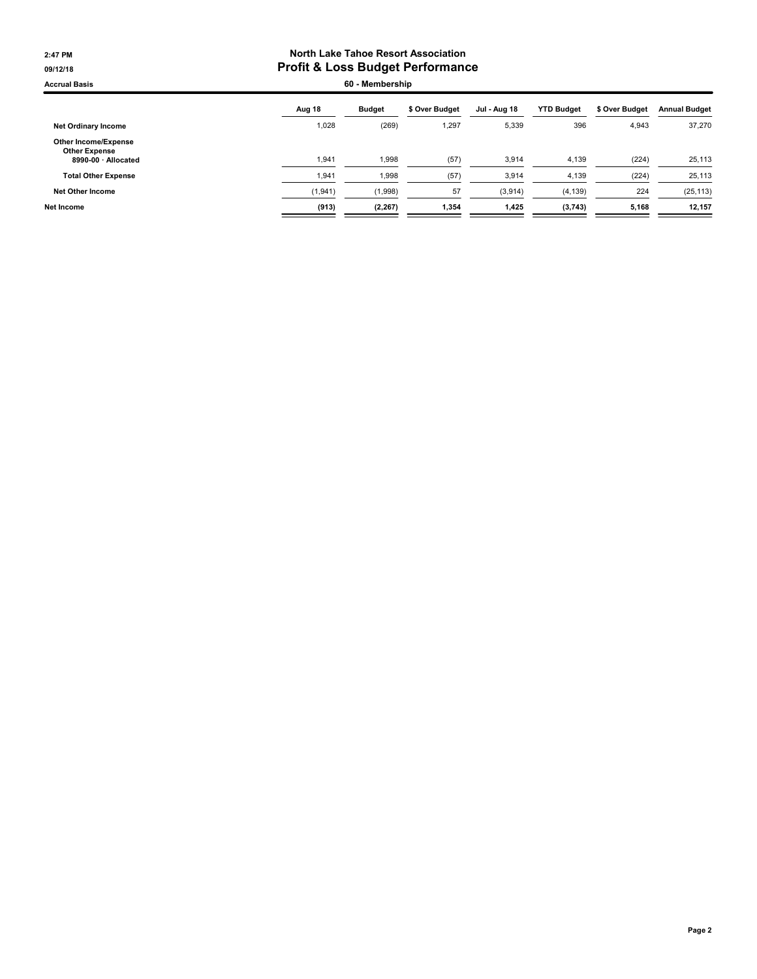#### 2:47 PM North Lake Tahoe Resort Association 09/12/18 09/12/18

Accrual Basis **60 - Membership** 

| Aug 18   | <b>Budget</b> | \$ Over Budget | Jul - Aug 18 | <b>YTD Budget</b> | \$ Over Budget | <b>Annual Budget</b> |
|----------|---------------|----------------|--------------|-------------------|----------------|----------------------|
| 1,028    | (269)         | .297           | 5,339        | 396               | 4,943          | 37,270               |
| 1,941    | 1,998         | (57)           | 3,914        | 4,139             | (224)          | 25,113               |
| 1,941    | 1,998         | (57)           | 3.914        | 4,139             | (224)          | 25,113               |
| (1, 941) | (1,998)       | 57             | (3,914)      | (4, 139)          | 224            | (25, 113)            |
| (913)    | (2, 267)      | 1,354          | 1,425        | (3,743)           | 5.168          | 12,157               |
|          |               |                |              |                   |                |                      |